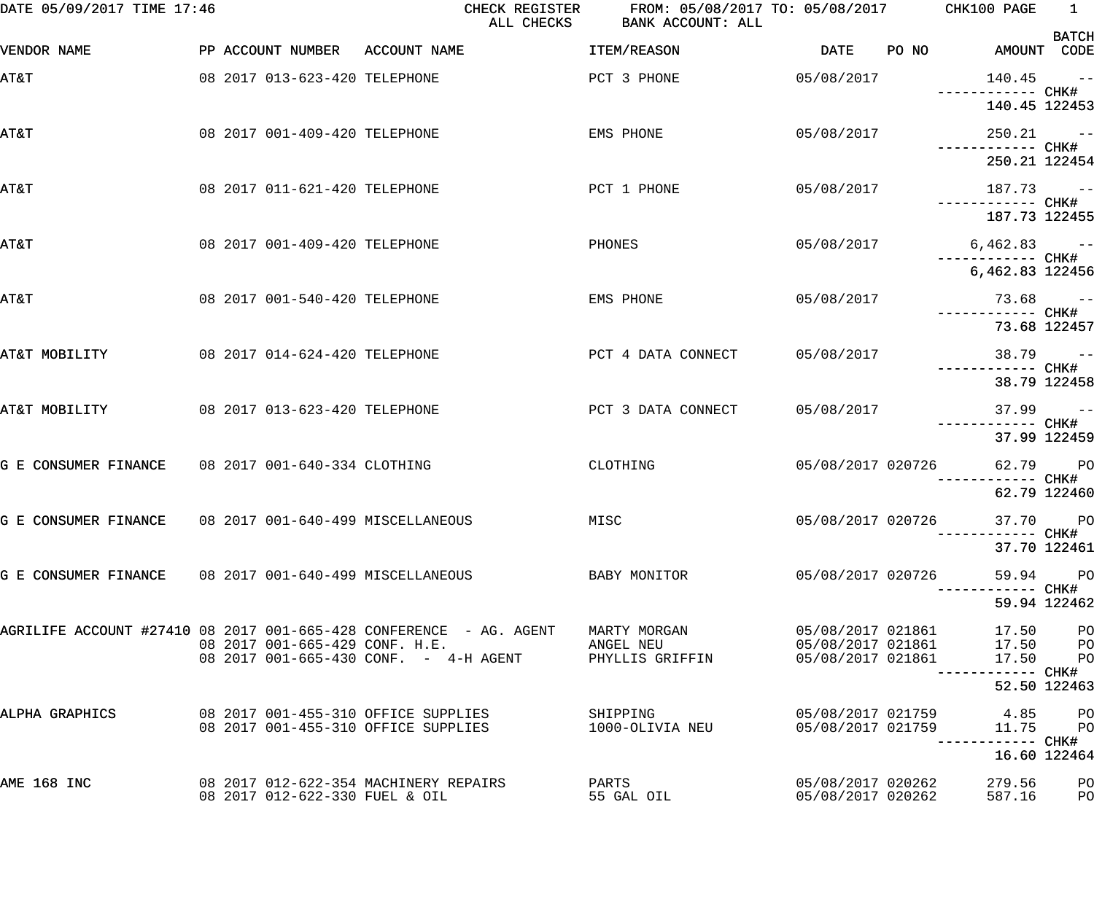| DATE 05/09/2017 TIME 17:46                             |                                | CHECK REGISTER<br>ALL CHECKS                                                  | FROM: 05/08/2017 TO: 05/08/2017 CHK100 PAGE<br>BANK ACCOUNT: ALL |                                        |       |                                        | $\frac{1}{1}$ |
|--------------------------------------------------------|--------------------------------|-------------------------------------------------------------------------------|------------------------------------------------------------------|----------------------------------------|-------|----------------------------------------|---------------|
| VENDOR NAME                                            | PP ACCOUNT NUMBER ACCOUNT NAME |                                                                               | ITEM/REASON                                                      | DATE                                   | PO NO | AMOUNT CODE                            | <b>BATCH</b>  |
| AT&T                                                   | 08 2017 013-623-420 TELEPHONE  |                                                                               | PCT 3 PHONE                                                      | 05/08/2017                             |       | 140.45                                 | $\sim$ $ -$   |
|                                                        |                                |                                                                               |                                                                  |                                        |       | 140.45 122453                          |               |
| AT&T                                                   | 08 2017 001-409-420 TELEPHONE  |                                                                               | EMS PHONE                                                        | 05/08/2017                             |       | $250.21 - -$                           |               |
|                                                        |                                |                                                                               |                                                                  |                                        |       | 250.21 122454                          |               |
| AT&T                                                   | 08 2017 011-621-420 TELEPHONE  |                                                                               | PCT 1 PHONE                                                      | 05/08/2017                             |       | $187.73 - -$                           |               |
|                                                        |                                |                                                                               |                                                                  |                                        |       | 187.73 122455                          |               |
| AT&T                                                   | 08 2017 001-409-420 TELEPHONE  |                                                                               | PHONES                                                           | 05/08/2017                             |       | $6,462.83$ --                          |               |
|                                                        |                                |                                                                               |                                                                  |                                        |       | 6,462.83 122456                        |               |
| AT&T                                                   | 08 2017 001-540-420 TELEPHONE  |                                                                               | EMS PHONE                                                        | 05/08/2017                             |       |                                        | $73.68 - -$   |
|                                                        |                                |                                                                               |                                                                  |                                        |       |                                        | 73.68 122457  |
| AT&T MOBILITY                                          | 08 2017 014-624-420 TELEPHONE  |                                                                               | PCT 4 DATA CONNECT                                               | 05/08/2017                             |       | ------------ CHK#                      | $38.79 - -$   |
|                                                        |                                |                                                                               |                                                                  |                                        |       |                                        | 38.79 122458  |
| AT&T MOBILITY                                          | 08 2017 013-623-420 TELEPHONE  |                                                                               | PCT 3 DATA CONNECT                                               | 05/08/2017                             |       | ------------ CHK#                      | $37.99 - -$   |
|                                                        |                                |                                                                               |                                                                  |                                        |       |                                        | 37.99 122459  |
| G E CONSUMER FINANCE 08 2017 001-640-334 CLOTHING      |                                |                                                                               | CLOTHING                                                         | 05/08/2017 020726                      |       | 62.79 PO<br>—————————— CHK#            |               |
|                                                        |                                |                                                                               |                                                                  |                                        |       |                                        | 62.79 122460  |
| G E CONSUMER FINANCE 08 2017 001-640-499 MISCELLANEOUS |                                | MISC <sub>2</sub>                                                             |                                                                  | 05/08/2017 020726                      |       | 37.70 PO<br>---------         CHK#     |               |
|                                                        |                                |                                                                               |                                                                  |                                        |       |                                        | 37.70 122461  |
| G E CONSUMER FINANCE 08 2017 001-640-499 MISCELLANEOUS |                                |                                                                               | BABY MONITOR                                                     | 05/08/2017 020726                      |       |                                        | 59.94 PO      |
|                                                        |                                |                                                                               |                                                                  |                                        |       |                                        | 59.94 122462  |
|                                                        | 08 2017 001-665-429 CONF. H.E. | AGRILIFE ACCOUNT #27410 08 2017 001-665-428 CONFERENCE - AG. AGENT            | MARTY MORGAN<br>ANGEL NEU                                        | 05/08/2017 021861                      |       | 17.50 PO                               |               |
|                                                        |                                | 08 2017 001-665-430 CONF. - 4-H AGENT                                         | PHYLLIS GRIFFIN                                                  |                                        |       |                                        |               |
|                                                        |                                |                                                                               |                                                                  |                                        |       |                                        | 52.50 122463  |
| ALPHA GRAPHICS                                         |                                | 08  2017  001-455-310  OFFICE SUPPLIES<br>08 2017 001-455-310 OFFICE SUPPLIES | SHIPPING<br>1000-OLIVIA NEU                                      | 05/08/2017 021759                      |       | 05/08/2017 021759   4.85   PO<br>11.75 | <b>PO</b>     |
|                                                        |                                |                                                                               |                                                                  |                                        |       | 16.60 122464                           |               |
| AME 168 INC                                            | 08 2017 012-622-330 FUEL & OIL | 08 2017 012-622-354 MACHINERY REPAIRS                                         | PARTS<br>55 GAL OIL                                              | 05/08/2017 020262<br>05/08/2017 020262 |       | 279.56<br>587.16                       | PО<br>PO      |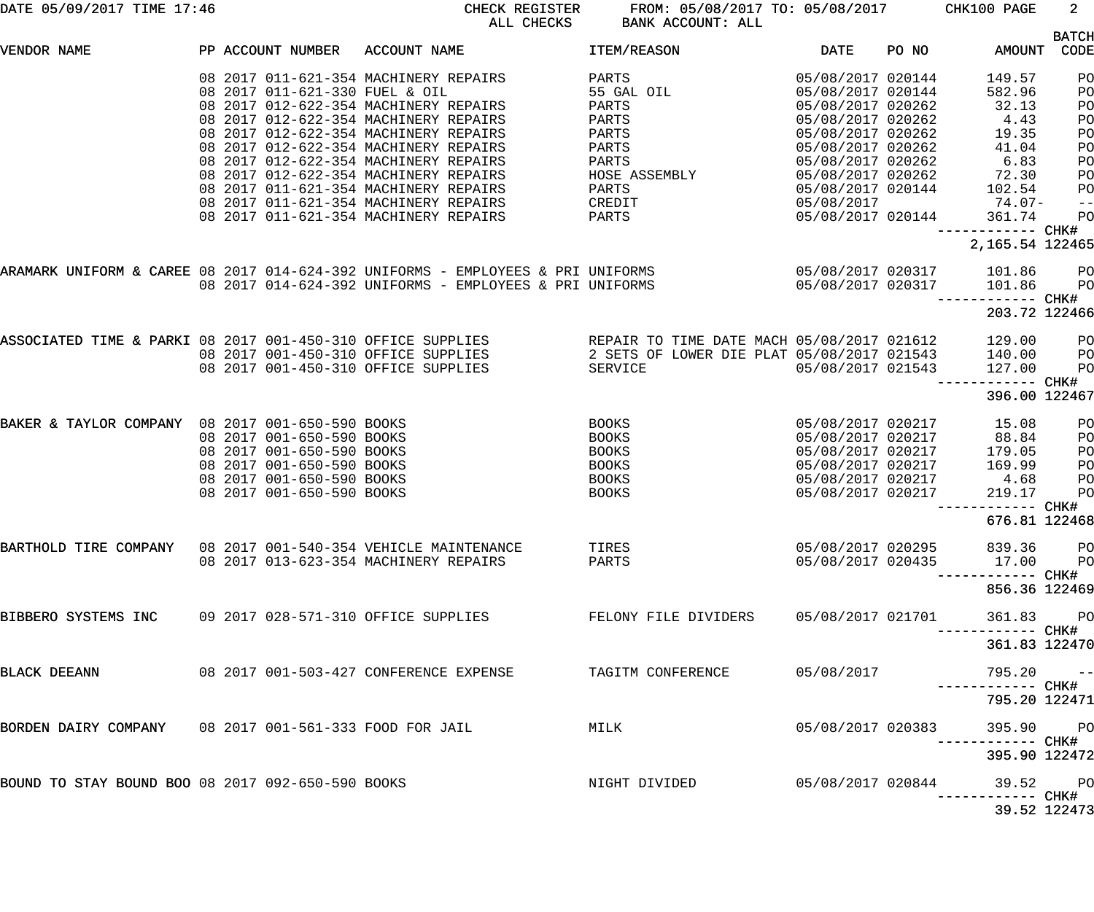| DATE 05/09/2017 TIME 17:46                                    |  |                           | CHECK REGISTER<br>ALL CHECKS                            | FROM: 05/08/2017 TO: 05/08/2017 CHK100 PAGE<br>BANK ACCOUNT: ALL                                                                                                                                        |                   |       |                                      | $2^{\circ}$       |
|---------------------------------------------------------------|--|---------------------------|---------------------------------------------------------|---------------------------------------------------------------------------------------------------------------------------------------------------------------------------------------------------------|-------------------|-------|--------------------------------------|-------------------|
|                                                               |  |                           |                                                         |                                                                                                                                                                                                         |                   |       |                                      | <b>BATCH</b>      |
| VENDOR NAME                                                   |  |                           | PP ACCOUNT NUMBER ACCOUNT NAME                          | <b>ITEM/REASON</b>                                                                                                                                                                                      | DATE              | PO NO | AMOUNT                               | CODE              |
|                                                               |  |                           | 08  2017  011-621-354  MACHINERY REPAIRS                | PARTS                                                                                                                                                                                                   | 05/08/2017 020144 |       | 149.57                               | PO                |
|                                                               |  |                           | 08 2017 011-621-330 FUEL & OIL                          | 55 GAL OIL SAN SAN SAN MARI                                                                                                                                                                             | 05/08/2017 020144 |       | 582.96                               | PO                |
|                                                               |  |                           | 08  2017  012-622-354  MACHINERY REPAIRS                | PARTS                                                                                                                                                                                                   | 05/08/2017 020262 |       | 32.13                                | PO                |
|                                                               |  |                           | 08 2017 012-622-354 MACHINERY REPAIRS                   | PARTS                                                                                                                                                                                                   | 05/08/2017 020262 |       | 4.43                                 | PO                |
|                                                               |  |                           | 08 2017 012-622-354 MACHINERY REPAIRS                   | <b>PARTS</b>                                                                                                                                                                                            | 05/08/2017 020262 |       | 19.35                                | PO                |
|                                                               |  |                           | 08 2017 012-622-354 MACHINERY REPAIRS                   | PARTS                                                                                                                                                                                                   | 05/08/2017 020262 |       | 41.04                                | PO                |
|                                                               |  |                           | 08 2017 012-622-354 MACHINERY REPAIRS                   | PARTS                                                                                                                                                                                                   | 05/08/2017 020262 |       | 6.83                                 | PO                |
|                                                               |  |                           | 08 2017 012-622-354 MACHINERY REPAIRS                   | HOSE ASSEMBLY                                                                                                                                                                                           | 05/08/2017 020262 |       | 72.30                                | PO                |
|                                                               |  |                           | 08 2017 011-621-354 MACHINERY REPAIRS                   |                                                                                                                                                                                                         |                   |       |                                      |                   |
|                                                               |  |                           |                                                         | PARTS                                                                                                                                                                                                   | 05/08/2017 020144 |       | 102.54                               | PO                |
|                                                               |  |                           | 08 2017 011-621-354 MACHINERY REPAIRS                   | <b>CREDIT</b>                                                                                                                                                                                           | 05/08/2017        |       | $74.07 -$                            | $\qquad \qquad -$ |
|                                                               |  |                           | 08 2017 011-621-354 MACHINERY REPAIRS                   | <b>PARTS</b>                                                                                                                                                                                            |                   |       | 05/08/2017 020144 361.74             | PO                |
|                                                               |  |                           |                                                         |                                                                                                                                                                                                         |                   |       | ------------ CHK#<br>2,165.54 122465 |                   |
|                                                               |  |                           |                                                         |                                                                                                                                                                                                         |                   |       |                                      |                   |
|                                                               |  |                           |                                                         | ARAMARK UNIFORM & CAREE 08 2017 014-624-392 UNIFORMS - EMPLOYEES & PRI UNIFORMS 6 05/08/2017 020317 101.86 PO                                                                                           |                   |       |                                      |                   |
|                                                               |  |                           | 08 2017 014-624-392 UNIFORMS - EMPLOYEES & PRI UNIFORMS | 05/08/2017 020317                                                                                                                                                                                       |                   |       | 101.86                               | P <sub>O</sub>    |
|                                                               |  |                           |                                                         |                                                                                                                                                                                                         |                   |       | ------------ CHK#<br>203.72 122466   |                   |
|                                                               |  |                           |                                                         |                                                                                                                                                                                                         |                   |       |                                      |                   |
|                                                               |  |                           |                                                         | ASSOCIATED TIME & PARKI 08 2017 001-450-310 OFFICE SUPPLIES AREPAIR TO TIME DATE MACH 05/08/2017 021612 129.00<br>08 2017 001-450-310 OFFICE SUPPLIES 2 SETS OF LOWER DIE PLAT 05/08/2017 021543 140.00 |                   |       |                                      | P <sub>O</sub>    |
|                                                               |  |                           |                                                         |                                                                                                                                                                                                         |                   |       |                                      | P <sub>O</sub>    |
|                                                               |  |                           | 08 2017 001-450-310 OFFICE SUPPLIES                     | SERVICE                                                                                                                                                                                                 | 05/08/2017 021543 |       | 127.00                               | PO                |
|                                                               |  |                           |                                                         |                                                                                                                                                                                                         |                   |       | ------------ CHK#<br>396.00 122467   |                   |
| BAKER & TAYLOR COMPANY 08 2017 001-650-590 BOOKS              |  |                           |                                                         | <b>BOOKS</b>                                                                                                                                                                                            |                   |       | 05/08/2017 020217 15.08              | PO                |
|                                                               |  | 08 2017 001-650-590 BOOKS |                                                         | BOOKS                                                                                                                                                                                                   | 05/08/2017 020217 |       | 88.84                                | PO                |
|                                                               |  | 08 2017 001-650-590 BOOKS |                                                         | BOOKS                                                                                                                                                                                                   | 05/08/2017 020217 |       | 179.05                               | PO                |
|                                                               |  | 08 2017 001-650-590 BOOKS |                                                         | BOOKS                                                                                                                                                                                                   | 05/08/2017 020217 |       | 169.99                               | PO                |
|                                                               |  | 08 2017 001-650-590 BOOKS |                                                         | BOOKS                                                                                                                                                                                                   | 05/08/2017 020217 |       | 4.68                                 | PO                |
|                                                               |  | 08 2017 001-650-590 BOOKS |                                                         | BOOKS                                                                                                                                                                                                   | 05/08/2017 020217 |       | 219.17                               | PO                |
|                                                               |  |                           |                                                         |                                                                                                                                                                                                         |                   |       |                                      |                   |
|                                                               |  |                           |                                                         |                                                                                                                                                                                                         |                   |       | 676.81 122468                        |                   |
| BARTHOLD TIRE COMPANY 08 2017 001-540-354 VEHICLE MAINTENANCE |  |                           |                                                         | TIRES                                                                                                                                                                                                   | 05/08/2017 020295 |       | 839.36 PO                            |                   |
|                                                               |  |                           | 08 2017 013-623-354 MACHINERY REPAIRS                   | PARTS                                                                                                                                                                                                   |                   |       | 05/08/2017 020435 17.00 PO           |                   |
|                                                               |  |                           |                                                         |                                                                                                                                                                                                         |                   |       |                                      |                   |
|                                                               |  |                           |                                                         |                                                                                                                                                                                                         |                   |       | 856.36 122469                        |                   |
| BIBBERO SYSTEMS INC                                           |  |                           | 09 2017 028-571-310 OFFICE SUPPLIES                     | FELONY FILE DIVIDERS                                                                                                                                                                                    | 05/08/2017 021701 |       | 361.83 PO                            |                   |
|                                                               |  |                           |                                                         |                                                                                                                                                                                                         |                   |       | ----------- CHK#<br>361.83 122470    |                   |
| BLACK DEEANN                                                  |  |                           | 08 2017 001-503-427 CONFERENCE EXPENSE                  | TAGITM CONFERENCE                                                                                                                                                                                       | 05/08/2017        |       | $795.20 - -$                         |                   |
|                                                               |  |                           |                                                         |                                                                                                                                                                                                         |                   |       |                                      |                   |
|                                                               |  |                           |                                                         |                                                                                                                                                                                                         |                   |       | 795.20 122471                        |                   |
| BORDEN DAIRY COMPANY 08 2017 001-561-333 FOOD FOR JAIL        |  |                           |                                                         | MILK                                                                                                                                                                                                    | 05/08/2017 020383 |       | 395.90 PO<br>----------- CHK#        |                   |
|                                                               |  |                           |                                                         |                                                                                                                                                                                                         |                   |       | 395.90 122472                        |                   |
| BOUND TO STAY BOUND BOO 08 2017 092-650-590 BOOKS             |  |                           |                                                         | NIGHT DIVIDED                                                                                                                                                                                           | 05/08/2017 020844 |       | 39.52 PO<br>----------- CHK#         |                   |
|                                                               |  |                           |                                                         |                                                                                                                                                                                                         |                   |       | 39.52 122473                         |                   |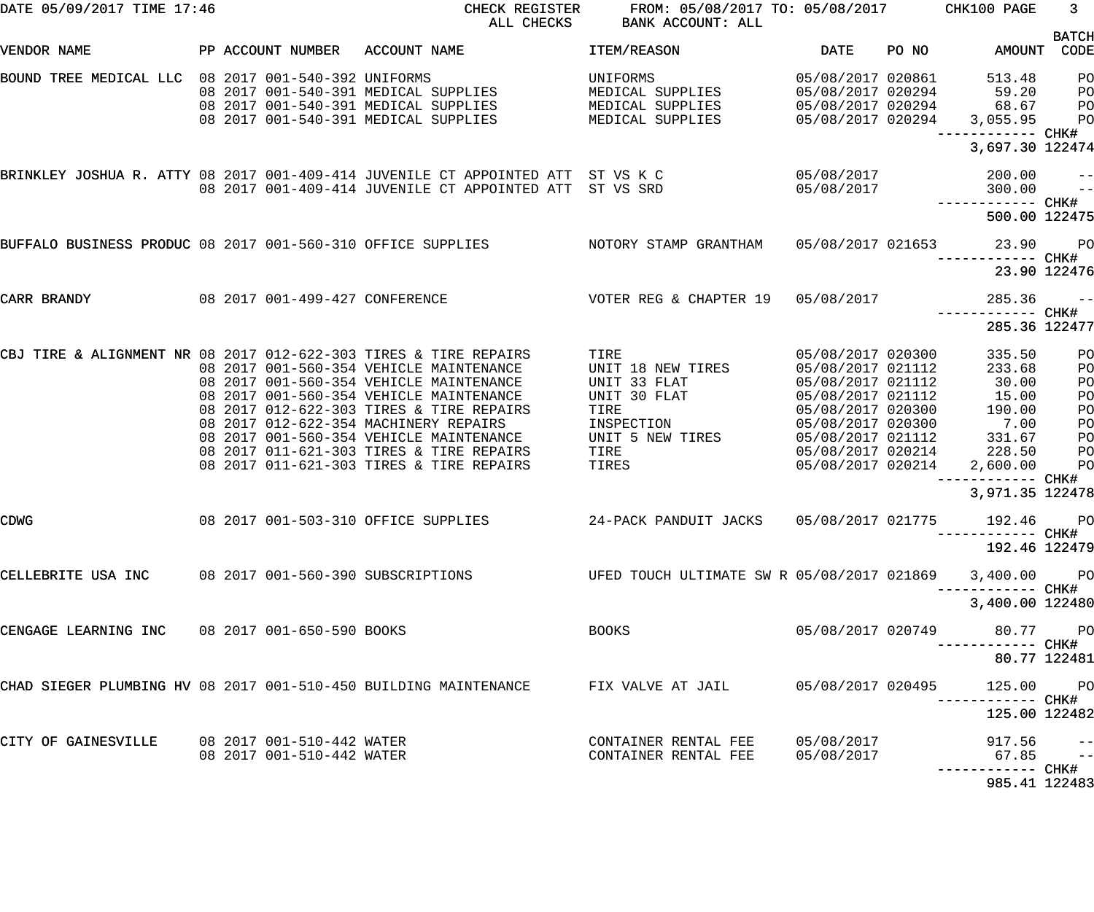| DATE 05/09/2017 TIME 17:46                                                                                                              |                                                        |                                                                                                                                                                                                                                                                                                                                                                                              | CHECK REGISTER FROM: 05/08/2017 TO: 05/08/2017 CHK100 PAGE<br>ALL CHECKS BANK ACCOUNT: ALL                                                                                                                                     |                                                                                                                                                                      |       |                                                                                                                                                                                                              | 3 <sup>7</sup>                                                                                                                         |
|-----------------------------------------------------------------------------------------------------------------------------------------|--------------------------------------------------------|----------------------------------------------------------------------------------------------------------------------------------------------------------------------------------------------------------------------------------------------------------------------------------------------------------------------------------------------------------------------------------------------|--------------------------------------------------------------------------------------------------------------------------------------------------------------------------------------------------------------------------------|----------------------------------------------------------------------------------------------------------------------------------------------------------------------|-------|--------------------------------------------------------------------------------------------------------------------------------------------------------------------------------------------------------------|----------------------------------------------------------------------------------------------------------------------------------------|
| VENDOR NAME                                                                                                                             |                                                        | PP ACCOUNT NUMBER ACCOUNT NAME                                                                                                                                                                                                                                                                                                                                                               | ITEM/REASON                                                                                                                                                                                                                    | DATE                                                                                                                                                                 | PO NO | AMOUNT CODE                                                                                                                                                                                                  | <b>BATCH</b>                                                                                                                           |
| BOUND TREE MEDICAL LLC 08 2017 001-540-392 UNIFORMS                                                                                     |                                                        | 08 2017 001-540-391 MEDICAL SUPPLIES<br>08 2017 001-540-391 MEDICAL SUPPLIES<br>08 2017 001-540-391 MEDICAL SUPPLIES                                                                                                                                                                                                                                                                         | UNIFORMS<br>MEDICAL SUPPLIES<br>MEDICAL SUPPLIES<br>MEDICAL SUPPLIES                                                                                                                                                           | 05/08/2017 020861<br>05/08/2017 020294<br>05/08/2017 020294<br>05/08/2017 020294                                                                                     |       | 513.48<br>59.20<br>68.67<br>3,055.95                                                                                                                                                                         | P <sub>O</sub><br>P <sub>O</sub><br>P <sub>O</sub><br>P <sub>O</sub>                                                                   |
|                                                                                                                                         |                                                        |                                                                                                                                                                                                                                                                                                                                                                                              |                                                                                                                                                                                                                                |                                                                                                                                                                      |       | 3,697.30 122474                                                                                                                                                                                              |                                                                                                                                        |
|                                                                                                                                         |                                                        | BRINKLEY JOSHUA R. ATTY 08 2017 001-409-414 JUVENILE CT APPOINTED ATT  ST VS K C<br>08 2017 001-409-414 JUVENILE CT APPOINTED ATT ST VS SRD 65/08/2017                                                                                                                                                                                                                                       |                                                                                                                                                                                                                                | 05/08/2017                                                                                                                                                           |       | 200.00<br>300.00<br>------------ CHK#                                                                                                                                                                        | $ -$<br>$\sim$ $-$                                                                                                                     |
|                                                                                                                                         |                                                        |                                                                                                                                                                                                                                                                                                                                                                                              |                                                                                                                                                                                                                                |                                                                                                                                                                      |       | 500.00 122475                                                                                                                                                                                                |                                                                                                                                        |
|                                                                                                                                         |                                                        | BUFFALO BUSINESS PRODUC 08 2017 001-560-310 OFFICE SUPPLIES NOTORY STAMP GRANTHAM                                                                                                                                                                                                                                                                                                            |                                                                                                                                                                                                                                |                                                                                                                                                                      |       | 05/08/2017 021653 23.90                                                                                                                                                                                      | $P$ O                                                                                                                                  |
|                                                                                                                                         |                                                        |                                                                                                                                                                                                                                                                                                                                                                                              |                                                                                                                                                                                                                                |                                                                                                                                                                      |       | 23.90 122476                                                                                                                                                                                                 |                                                                                                                                        |
| CARR BRANDY                                                                                                                             |                                                        | 08 2017 001-499-427 CONFERENCE                                 VOTER REG & CHAPTER 19     05/08/2017                                                                                                                                                                                                                                                                                         |                                                                                                                                                                                                                                |                                                                                                                                                                      |       | 285.36                                                                                                                                                                                                       | $ -$                                                                                                                                   |
|                                                                                                                                         |                                                        |                                                                                                                                                                                                                                                                                                                                                                                              |                                                                                                                                                                                                                                |                                                                                                                                                                      |       | 285.36 122477                                                                                                                                                                                                |                                                                                                                                        |
| CBJ TIRE & ALIGNMENT NR 08 2017 012-622-303 TIRES & TIRE REPAIRS<br><b>CDWG</b><br>CELLEBRITE USA INC 08 2017 001-560-390 SUBSCRIPTIONS |                                                        | 08 2017 001-560-354 VEHICLE MAINTENANCE<br>08 2017 001-560-354 VEHICLE MAINTENANCE<br>08 2017 001-560-354 VEHICLE MAINTENANCE<br>08 2017 012-622-303 TIRES & TIRE REPAIRS<br>08 2017 012-622-354 MACHINERY REPAIRS<br>08 2017 001-560-354 VEHICLE MAINTENANCE<br>08 2017 011-621-303 TIRES & TIRE REPAIRS<br>08 2017 011-621-303 TIRES & TIRE REPAIRS<br>08 2017 001-503-310 OFFICE SUPPLIES | TIRE<br>UNIT 18 NEW TIRES<br>UNIT 33 FLAT<br>UNIT 30 FLAT<br>TIRE<br>INSPECTION<br>UNIT 5 NEW TIRES<br>TIRE<br><b>TIRES Example 2</b><br>24-PACK PANDUIT JACKS 05/08/2017 021775<br>UFED TOUCH ULTIMATE SW R 05/08/2017 021869 | 05/08/2017 020300<br>05/08/2017 021112<br>05/08/2017 021112<br>05/08/2017 021112<br>05/08/2017 020300<br>05/08/2017 020300<br>05/08/2017 021112<br>05/08/2017 020214 |       | 335.50<br>233.68<br>30.00<br>15.00<br>190.00<br>7.00<br>331.67<br>05/08/2017 020214 228.50<br>2,600.00<br>3,971.35 122478<br>192.46 PO<br>---------- CHK#<br>192.46 122479<br>3,400.00 PO<br>3,400.00 122480 | P <sub>O</sub><br>P <sub>O</sub><br>P <sub>O</sub><br>P <sub>O</sub><br>PO<br>PO<br>P <sub>O</sub><br>P <sub>O</sub><br>P <sub>O</sub> |
| CENGAGE LEARNING INC 08 2017 001-650-590 BOOKS                                                                                          |                                                        |                                                                                                                                                                                                                                                                                                                                                                                              | <b>BOOKS</b>                                                                                                                                                                                                                   | 05/08/2017 020749                                                                                                                                                    |       | 80.77 PO<br>80.77 122481                                                                                                                                                                                     |                                                                                                                                        |
| CHAD SIEGER PLUMBING HV 08 2017 001-510-450 BUILDING MAINTENANCE                                                                        |                                                        |                                                                                                                                                                                                                                                                                                                                                                                              | FIX VALVE AT JAIL                                                                                                                                                                                                              | 05/08/2017 020495                                                                                                                                                    |       | 125.00<br>----------- CHK#<br>125.00 122482                                                                                                                                                                  | <b>PO</b>                                                                                                                              |
| CITY OF GAINESVILLE                                                                                                                     | 08 2017 001-510-442 WATER<br>08 2017 001-510-442 WATER |                                                                                                                                                                                                                                                                                                                                                                                              | CONTAINER RENTAL FEE<br>CONTAINER RENTAL FEE                                                                                                                                                                                   | 05/08/2017<br>05/08/2017                                                                                                                                             |       | 917.56<br>$67.85 - -$                                                                                                                                                                                        | $- -$                                                                                                                                  |
|                                                                                                                                         |                                                        |                                                                                                                                                                                                                                                                                                                                                                                              |                                                                                                                                                                                                                                |                                                                                                                                                                      |       | 985.41 122483                                                                                                                                                                                                |                                                                                                                                        |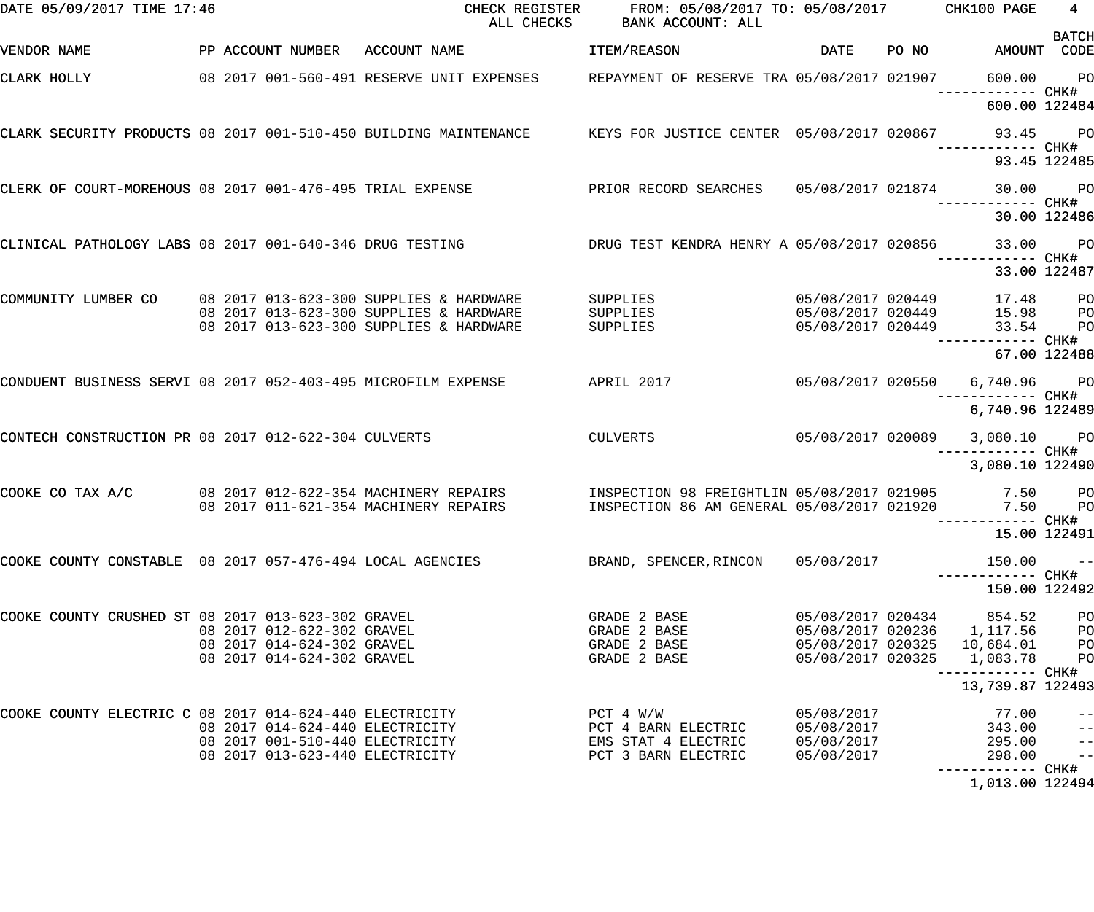| DATE 05/09/2017 TIME 17:46                                    |                                                                    | CHECK REGISTER<br>ALL CHECKS                                                                               | FROM: 05/08/2017 TO: 05/08/2017 CHK100 PAGE<br>BANK ACCOUNT: ALL                         |                                        |       |                                          | $4 -$<br><b>BATCH</b>            |
|---------------------------------------------------------------|--------------------------------------------------------------------|------------------------------------------------------------------------------------------------------------|------------------------------------------------------------------------------------------|----------------------------------------|-------|------------------------------------------|----------------------------------|
| VENDOR NAME                                                   | PP ACCOUNT NUMBER ACCOUNT NAME                                     |                                                                                                            | ITEM/REASON                                                                              | <b>DATE</b>                            | PO NO | AMOUNT CODE                              |                                  |
| CLARK HOLLY                                                   |                                                                    | 08  2017  001-560-491 RESERVE UNIT EXPENSES                                                                | REPAYMENT OF RESERVE TRA 05/08/2017 021907                                               |                                        |       | 600.00                                   | $P$ O                            |
|                                                               |                                                                    |                                                                                                            |                                                                                          |                                        |       | 600.00 122484                            |                                  |
|                                                               |                                                                    | CLARK SECURITY PRODUCTS 08 2017 001-510-450 BUILDING MAINTENANCE KEYS FOR JUSTICE CENTER 05/08/2017 020867 |                                                                                          |                                        |       | 93.45                                    | <b>PO</b>                        |
|                                                               |                                                                    |                                                                                                            |                                                                                          |                                        |       |                                          | 93.45 122485                     |
| CLERK OF COURT-MOREHOUS 08 2017 001-476-495 TRIAL EXPENSE     |                                                                    |                                                                                                            | PRIOR RECORD SEARCHES                                                                    | 05/08/2017 021874                      |       | 30.00<br>------------ CHK#               | PO <sub>1</sub>                  |
|                                                               |                                                                    |                                                                                                            |                                                                                          |                                        |       |                                          | 30.00 122486                     |
| CLINICAL PATHOLOGY LABS 08 2017 001-640-346 DRUG TESTING      |                                                                    |                                                                                                            | DRUG TEST KENDRA HENRY A 05/08/2017 020856                                               |                                        |       | 33.00                                    | $P$ O                            |
|                                                               |                                                                    |                                                                                                            |                                                                                          |                                        |       |                                          | 33.00 122487                     |
| COMMUNITY LUMBER CO                                           |                                                                    | 08 2017 013-623-300 SUPPLIES & HARDWARE                                                                    | SUPPLIES                                                                                 | 05/08/2017 020449                      |       | 17.48                                    | P <sub>O</sub>                   |
|                                                               |                                                                    | 08 2017 013-623-300 SUPPLIES & HARDWARE<br>08 2017 013-623-300 SUPPLIES & HARDWARE                         | SUPPLIES<br><b>SUPPLIES</b>                                                              | 05/08/2017 020449<br>05/08/2017 020449 |       | 15.98<br>33.54<br>------ CHK#            | P <sub>O</sub><br>PO             |
|                                                               |                                                                    |                                                                                                            |                                                                                          |                                        |       |                                          | 67.00 122488                     |
| CONDUENT BUSINESS SERVI 08 2017 052-403-495 MICROFILM EXPENSE |                                                                    |                                                                                                            | APRIL 2017                                                                               | 05/08/2017 020550                      |       | 6,740.96                                 | PO <sub>1</sub><br>---- CHK#     |
|                                                               |                                                                    |                                                                                                            |                                                                                          |                                        |       | 6,740.96 122489                          |                                  |
| CONTECH CONSTRUCTION PR 08 2017 012-622-304 CULVERTS          |                                                                    |                                                                                                            | <b>CULVERTS</b>                                                                          | 05/08/2017 020089                      |       | 3,080.10 PO<br>------ CHK#               |                                  |
|                                                               |                                                                    |                                                                                                            |                                                                                          |                                        |       | 3,080.10 122490                          |                                  |
| COOKE CO TAX A/C                                              |                                                                    | 08 2017 012-622-354 MACHINERY REPAIRS<br>08 2017 011-621-354 MACHINERY REPAIRS                             | INSPECTION 98 FREIGHTLIN 05/08/2017 021905<br>INSPECTION 86 AM GENERAL 05/08/2017 021920 |                                        |       | 7.50<br>7.50                             | $P$ O<br>P <sub>O</sub>          |
|                                                               |                                                                    |                                                                                                            |                                                                                          |                                        |       | ------------ CHK#<br>15.00 122491        |                                  |
| COOKE COUNTY CONSTABLE 08 2017 057-476-494 LOCAL AGENCIES     |                                                                    |                                                                                                            | BRAND, SPENCER, RINCON                                                                   | 05/08/2017                             |       | 150.00                                   | $- -$                            |
|                                                               |                                                                    |                                                                                                            |                                                                                          |                                        |       | 150.00 122492                            |                                  |
| COOKE COUNTY CRUSHED ST 08 2017 013-623-302 GRAVEL            |                                                                    |                                                                                                            | GRADE 2 BASE                                                                             | 05/08/2017 020434                      |       | 854.52                                   | P <sub>O</sub>                   |
|                                                               | 08 2017 012-622-302 GRAVEL                                         |                                                                                                            | GRADE 2 BASE                                                                             |                                        |       | 05/08/2017 020236 1,117.56               | P <sub>O</sub>                   |
|                                                               | 08 2017 014-624-302 GRAVEL<br>08 2017 014-624-302 GRAVEL           |                                                                                                            | GRADE 2 BASE<br>GRADE 2 BASE                                                             | 05/08/2017 020325                      |       | 05/08/2017 020325  10,684.01<br>1,083.78 | P <sub>O</sub><br>P <sub>O</sub> |
|                                                               |                                                                    |                                                                                                            |                                                                                          |                                        |       |                                          |                                  |
|                                                               |                                                                    |                                                                                                            |                                                                                          |                                        |       | 13,739.87 122493                         |                                  |
| COOKE COUNTY ELECTRIC C 08 2017 014-624-440 ELECTRICITY       |                                                                    |                                                                                                            | PCT 4 W/W                                                                                | 05/08/2017                             |       | 77.00                                    | $ -$                             |
|                                                               | 08 2017 014-624-440 ELECTRICITY                                    |                                                                                                            | PCT 4 BARN ELECTRIC                                                                      | 05/08/2017                             |       | 343.00                                   | $-$                              |
|                                                               | 08 2017 001-510-440 ELECTRICITY<br>08 2017 013-623-440 ELECTRICITY |                                                                                                            | EMS STAT 4 ELECTRIC<br>PCT 3 BARN ELECTRIC                                               | 05/08/2017<br>05/08/2017               |       | 295.00<br>298.00                         | $-$<br>$\overline{\phantom{a}}$  |
|                                                               |                                                                    |                                                                                                            |                                                                                          |                                        |       |                                          |                                  |
|                                                               |                                                                    |                                                                                                            |                                                                                          |                                        |       | 1,013.00 122494                          |                                  |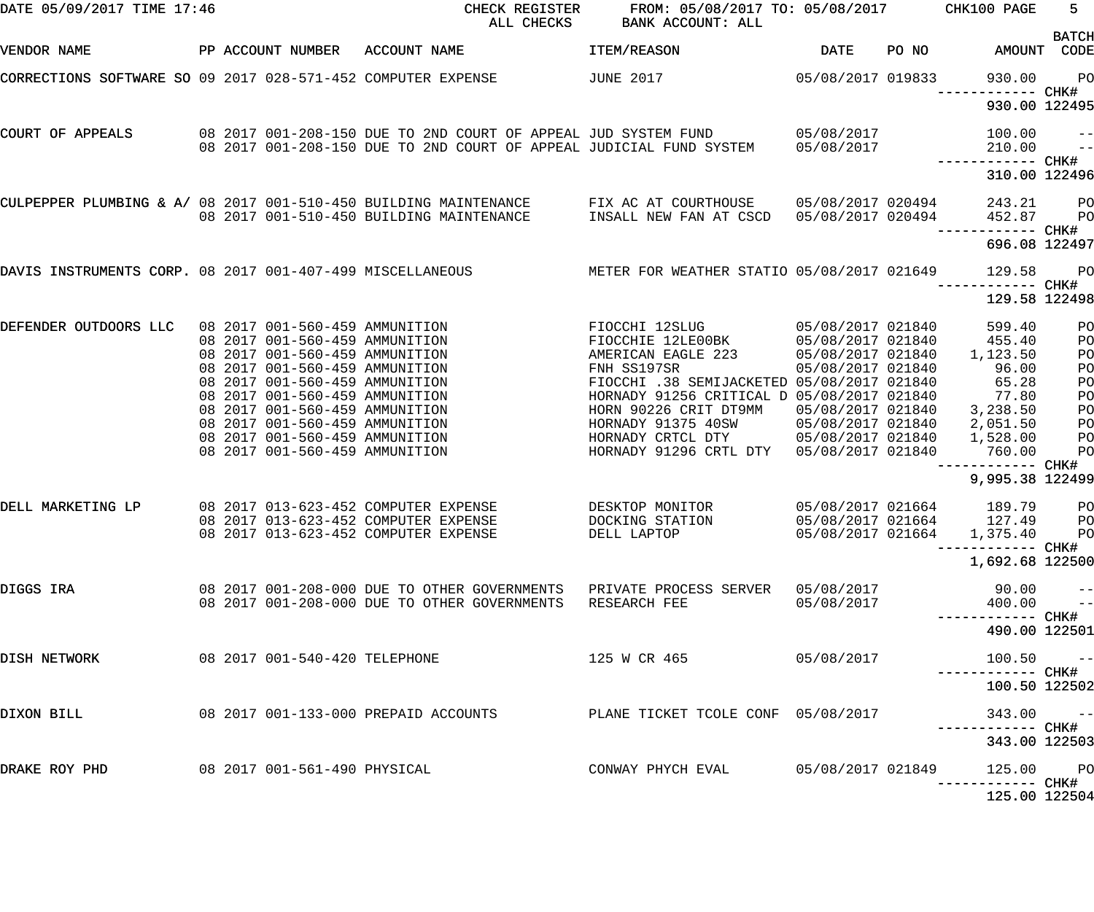| DATE 05/09/2017 TIME 17:46                                   |  |                                                                  | CHECK REGISTER<br>ALL CHECKS                                                                                                                             | FROM: 05/08/2017 TO: 05/08/2017 CHK100 PAGE<br>BANK ACCOUNT: ALL    |                                        |       |                                            | $5 -$          |
|--------------------------------------------------------------|--|------------------------------------------------------------------|----------------------------------------------------------------------------------------------------------------------------------------------------------|---------------------------------------------------------------------|----------------------------------------|-------|--------------------------------------------|----------------|
| VENDOR NAME                                                  |  | PP ACCOUNT NUMBER                                                | ACCOUNT NAME                                                                                                                                             | ITEM/REASON                                                         | <b>DATE</b>                            | PO NO | AMOUNT CODE                                | <b>BATCH</b>   |
| CORRECTIONS SOFTWARE SO 09 2017 028-571-452 COMPUTER EXPENSE |  |                                                                  |                                                                                                                                                          | JUNE 2017                                                           | 05/08/2017 019833                      |       | 930.00<br>----------- CHK#                 | $P$ O          |
|                                                              |  |                                                                  |                                                                                                                                                          |                                                                     |                                        |       | 930.00 122495                              |                |
| COURT OF APPEALS                                             |  |                                                                  | 08 2017 001-208-150 DUE TO 2ND COURT OF APPEAL JUD SYSTEM FUND<br>08 2017 001-208-150 DUE TO 2ND COURT OF APPEAL JUDICIAL FUND SYSTEM                    |                                                                     | 05/08/2017<br>05/08/2017               |       | 100.00<br>210.00                           | $- -$          |
|                                                              |  |                                                                  |                                                                                                                                                          |                                                                     |                                        |       |                                            | $- -$          |
|                                                              |  |                                                                  |                                                                                                                                                          |                                                                     |                                        |       | 310.00 122496                              |                |
|                                                              |  |                                                                  | CULPEPPER PLUMBING & A/ 08 2017 001-510-450 BUILDING MAINTENANCE FIX AC AT COURTHOUSE<br>08 2017 001-510-450 BUILDING MAINTENANCE INSALL NEW FAN AT CSCD |                                                                     | 05/08/2017 020494                      |       | 243.21                                     | P <sub>O</sub> |
|                                                              |  |                                                                  |                                                                                                                                                          |                                                                     | 05/08/2017 020494                      |       | 452.87<br>—————————— CHK#                  | P <sub>O</sub> |
|                                                              |  |                                                                  |                                                                                                                                                          |                                                                     |                                        |       | 696.08 122497                              |                |
| DAVIS INSTRUMENTS CORP. 08 2017 001-407-499 MISCELLANEOUS    |  |                                                                  |                                                                                                                                                          | METER FOR WEATHER STATIO 05/08/2017 021649                          |                                        |       | 129.58                                     | $_{\rm PO}$    |
|                                                              |  |                                                                  |                                                                                                                                                          |                                                                     |                                        |       | 129.58 122498                              |                |
| DEFENDER OUTDOORS LLC                                        |  | 08 2017 001-560-459 AMMUNITION                                   |                                                                                                                                                          | FIOCCHI 12SLUG                                                      | 05/08/2017 021840                      |       | 599.40                                     | PO             |
|                                                              |  | 08 2017 001-560-459 AMMUNITION                                   |                                                                                                                                                          | FIOCCHIE 12LE00BK                                                   | 05/08/2017 021840                      |       | 455.40                                     | PO             |
|                                                              |  | 08 2017 001-560-459 AMMUNITION                                   |                                                                                                                                                          | AMERICAN EAGLE 223                                                  | 05/08/2017 021840                      |       | 1,123.50                                   | PO             |
|                                                              |  | 08 2017 001-560-459 AMMUNITION                                   |                                                                                                                                                          | FNH SS197SR                                                         | 05/08/2017 021840                      |       | 96.00                                      | PO             |
|                                                              |  | 08 2017 001-560-459 AMMUNITION                                   |                                                                                                                                                          | FIOCCHI .38 SEMIJACKETED 05/08/2017 021840                          |                                        |       | 65.28                                      | PO             |
|                                                              |  | 08 2017 001-560-459 AMMUNITION                                   |                                                                                                                                                          | HORNADY 91256 CRITICAL D 05/08/2017 021840<br>HORN 90226 CRIT DT9MM |                                        |       | 77.80                                      | PO             |
|                                                              |  | 08 2017 001-560-459 AMMUNITION<br>08 2017 001-560-459 AMMUNITION |                                                                                                                                                          | HORNADY 91375 40SW                                                  | 05/08/2017 021840<br>05/08/2017 021840 |       | 3,238.50<br>2,051.50                       | PO<br>PO       |
|                                                              |  | 08 2017 001-560-459 AMMUNITION                                   |                                                                                                                                                          | HORNADY CRTCL DTY                                                   | 05/08/2017 021840                      |       | 1,528.00                                   | PO             |
|                                                              |  | 08 2017 001-560-459 AMMUNITION                                   |                                                                                                                                                          | HORNADY 91296 CRTL DTY                                              | 05/08/2017 021840                      |       | 760.00                                     | PO             |
|                                                              |  |                                                                  |                                                                                                                                                          |                                                                     |                                        |       | ------------ CHK#                          |                |
|                                                              |  |                                                                  |                                                                                                                                                          |                                                                     |                                        |       | 9,995.38 122499                            |                |
| DELL MARKETING LP                                            |  |                                                                  | 08 2017 013-623-452 COMPUTER EXPENSE                                                                                                                     | DESKTOP MONITOR                                                     | 05/08/2017 021664                      |       | 189.79                                     | PO             |
|                                                              |  |                                                                  | 08 2017 013-623-452 COMPUTER EXPENSE THE DOCKING STATION<br>08 2017 013-623-452 COMPUTER EXPENSE                                                         | DELL LAPTOP                                                         | 05/08/2017 021664                      |       | 05/08/2017 021664 127.49 PO<br>1,375.40 PO |                |
|                                                              |  |                                                                  |                                                                                                                                                          |                                                                     |                                        |       |                                            |                |
|                                                              |  |                                                                  |                                                                                                                                                          |                                                                     |                                        |       | 1,692.68 122500                            |                |
| DIGGS IRA                                                    |  |                                                                  | 08 2017 001-208-000 DUE TO OTHER GOVERNMENTS PRIVATE PROCESS SERVER 05/08/2017                                                                           |                                                                     |                                        |       | –– 90.00 –<br>400.00 ––                    |                |
|                                                              |  |                                                                  | 08 2017 001-208-000 DUE TO OTHER GOVERNMENTS RESEARCH FEE                                                                                                |                                                                     | 05/08/2017                             |       |                                            |                |
|                                                              |  |                                                                  |                                                                                                                                                          |                                                                     |                                        |       | 490.00 122501                              |                |
| DISH NETWORK                                                 |  |                                                                  | 08 2017 001-540-420 TELEPHONE                                                                                                                            | 125 W CR 465                                                        | 05/08/2017                             |       | $100.50 -$                                 |                |
|                                                              |  |                                                                  |                                                                                                                                                          |                                                                     |                                        |       | 100.50 122502                              |                |
| DIXON BILL                                                   |  |                                                                  | 08 2017 001-133-000 PREPAID ACCOUNTS TLANE TICKET TCOLE CONF 05/08/2017                                                                                  |                                                                     |                                        |       | $343.00 - -$                               |                |
|                                                              |  |                                                                  |                                                                                                                                                          |                                                                     |                                        |       | 343.00 122503                              |                |
| DRAKE ROY PHD                                                |  |                                                                  | 08 2017 001-561-490 PHYSICAL                                                                                                                             | CONWAY PHYCH EVAL 05/08/2017 021849                                 |                                        |       | 125.00 PO                                  |                |
|                                                              |  |                                                                  |                                                                                                                                                          |                                                                     |                                        |       | 125.00 122504                              |                |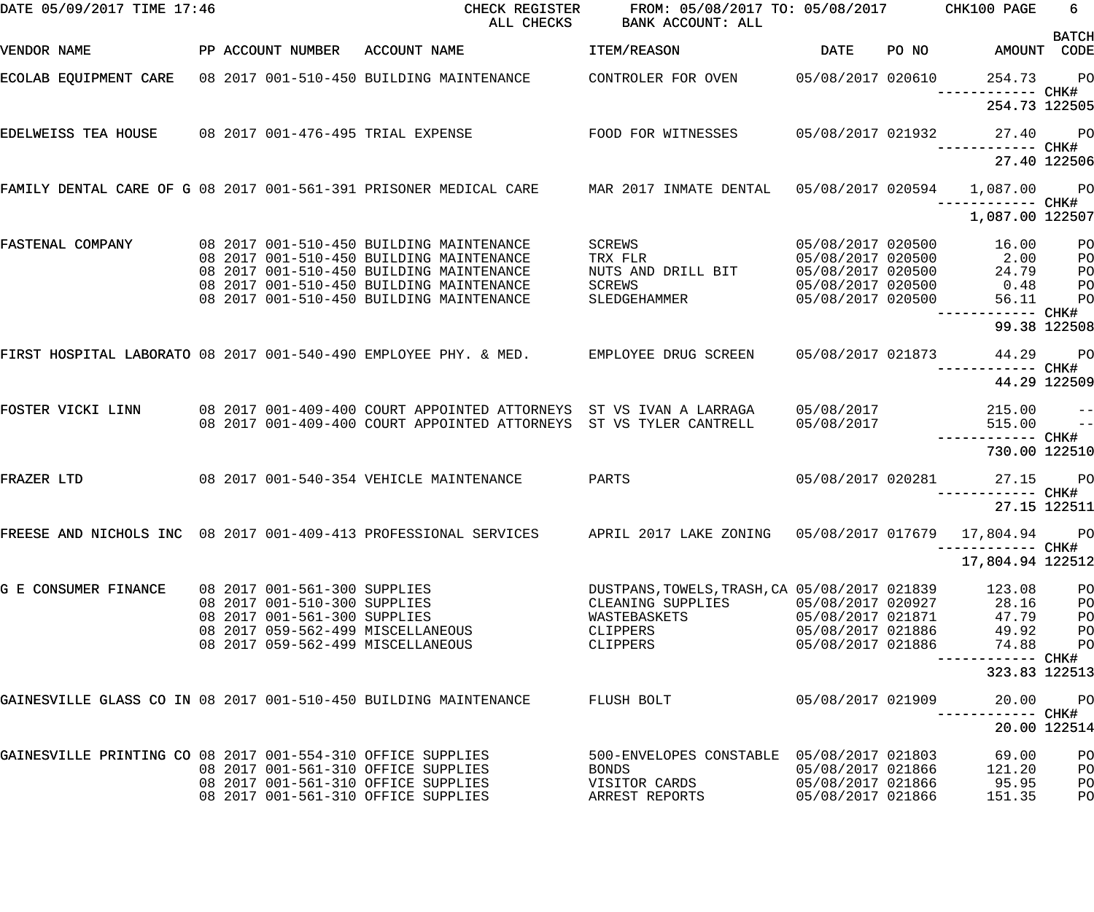| DATE 05/09/2017 TIME 17:46                                       |  |                              | CHECK REGISTER<br>ALL CHECKS                                                                                           | FROM: 05/08/2017 TO: 05/08/2017 CHK100 PAGE<br>BANK ACCOUNT: ALL |                   |       |                                    | 6              |
|------------------------------------------------------------------|--|------------------------------|------------------------------------------------------------------------------------------------------------------------|------------------------------------------------------------------|-------------------|-------|------------------------------------|----------------|
| VENDOR NAME                                                      |  |                              | PP ACCOUNT NUMBER ACCOUNT NAME                                                                                         | ITEM/REASON                                                      | <b>DATE</b>       | PO NO | AMOUNT CODE                        | <b>BATCH</b>   |
| ECOLAB EQUIPMENT CARE 08 2017 001-510-450 BUILDING MAINTENANCE   |  |                              |                                                                                                                        | CONTROLER FOR OVEN 05/08/2017 020610                             |                   |       | 254.73 PO                          |                |
|                                                                  |  |                              |                                                                                                                        |                                                                  |                   |       | 254.73 122505                      |                |
| EDELWEISS TEA HOUSE 08 2017 001-476-495 TRIAL EXPENSE            |  |                              |                                                                                                                        | FOOD FOR WITNESSES                                               | 05/08/2017 021932 |       | 27.40 PO                           |                |
|                                                                  |  |                              |                                                                                                                        |                                                                  |                   |       | 27.40 122506                       |                |
|                                                                  |  |                              | FAMILY DENTAL CARE OF G 08 2017 001-561-391 PRISONER MEDICAL CARE MAR 2017 INMATE DENTAL 05/08/2017 020594 1,087.00 PO |                                                                  |                   |       |                                    |                |
|                                                                  |  |                              |                                                                                                                        |                                                                  |                   |       | 1,087.00 122507                    |                |
| FASTENAL COMPANY                                                 |  |                              | 08 2017 001-510-450 BUILDING MAINTENANCE                                                                               | SCREWS                                                           | 05/08/2017 020500 |       | 16.00                              | PO             |
|                                                                  |  |                              | 08 2017 001-510-450 BUILDING MAINTENANCE                                                                               | TRX FLR                                                          | 05/08/2017 020500 |       | 2.00                               | P <sub>O</sub> |
|                                                                  |  |                              | 08 2017 001-510-450 BUILDING MAINTENANCE                                                                               | NUTS AND DRILL BIT                                               | 05/08/2017 020500 |       | 24.79                              | P <sub>O</sub> |
|                                                                  |  |                              | 08 2017 001-510-450 BUILDING MAINTENANCE                                                                               | SCREWS                                                           | 05/08/2017 020500 |       | 0.48                               | PО             |
|                                                                  |  |                              | 08 2017 001-510-450 BUILDING MAINTENANCE                                                                               | SLEDGEHAMMER                                                     | 05/08/2017 020500 |       | 56.11                              | P <sub>O</sub> |
|                                                                  |  |                              |                                                                                                                        |                                                                  |                   |       | ------- CHK#                       | 99.38 122508   |
|                                                                  |  |                              | FIRST HOSPITAL LABORATO 08 2017 001-540-490 EMPLOYEE PHY. & MED. EMPLOYEE DRUG SCREEN                                  |                                                                  | 05/08/2017 021873 |       | 44.29 PO                           |                |
|                                                                  |  |                              |                                                                                                                        |                                                                  |                   |       |                                    | 44.29 122509   |
| FOSTER VICKI LINN                                                |  |                              | 08 2017 001-409-400 COURT APPOINTED ATTORNEYS ST VS IVAN A LARRAGA                                                     |                                                                  | 05/08/2017        |       | 215.00                             | $- -$          |
|                                                                  |  |                              | 08 2017 001-409-400 COURT APPOINTED ATTORNEYS ST VS TYLER CANTRELL                                                     |                                                                  | 05/08/2017        |       | 515.00                             | $ -$           |
|                                                                  |  |                              |                                                                                                                        |                                                                  |                   |       | ------------ CHK#<br>730.00 122510 |                |
| FRAZER LTD                                                       |  |                              | 08 2017 001-540-354 VEHICLE MAINTENANCE                                                                                | PARTS                                                            | 05/08/2017 020281 |       | 27.15 PO                           |                |
|                                                                  |  |                              |                                                                                                                        |                                                                  |                   |       | 27.15 122511                       |                |
|                                                                  |  |                              | FREESE AND NICHOLS INC 08 2017 001-409-413 PROFESSIONAL SERVICES APRIL 2017 LAKE ZONING 05/08/2017 017679 17,804.94    |                                                                  |                   |       | ------------ CHK#                  | <b>PO</b>      |
|                                                                  |  |                              |                                                                                                                        |                                                                  |                   |       | 17,804.94 122512                   |                |
| G E CONSUMER FINANCE                                             |  | 08 2017 001-561-300 SUPPLIES |                                                                                                                        | DUSTPANS, TOWELS, TRASH, CA 05/08/2017 021839                    |                   |       | 123.08                             | PO             |
|                                                                  |  | 08 2017 001-510-300 SUPPLIES |                                                                                                                        | CLEANING SUPPLIES                                                | 05/08/2017 020927 |       | 28.16                              | PO             |
|                                                                  |  | 08 2017 001-561-300 SUPPLIES |                                                                                                                        | WASTEBASKETS                                                     | 05/08/2017 021871 |       | 47.79                              | PO             |
|                                                                  |  |                              | 08  2017  059-562-499  MISCELLANEOUS                                                                                   | CLIPPERS                                                         | 05/08/2017 021886 |       | 49.92                              | PО             |
|                                                                  |  |                              | 08 2017 059-562-499 MISCELLANEOUS                                                                                      | CLIPPERS                                                         | 05/08/2017 021886 |       | 74.88                              | P <sub>O</sub> |
|                                                                  |  |                              |                                                                                                                        |                                                                  |                   |       | 323.83 122513                      |                |
| GAINESVILLE GLASS CO IN 08 2017 001-510-450 BUILDING MAINTENANCE |  |                              |                                                                                                                        | FLUSH BOLT                                                       | 05/08/2017 021909 |       | 20.00<br>------ CHK#               | P <sub>O</sub> |
|                                                                  |  |                              |                                                                                                                        |                                                                  |                   |       |                                    | 20.00 122514   |
| GAINESVILLE PRINTING CO 08 2017 001-554-310 OFFICE SUPPLIES      |  |                              |                                                                                                                        | 500-ENVELOPES CONSTABLE  05/08/2017 021803                       |                   |       | 69.00                              | PO             |
|                                                                  |  |                              | 08 2017 001-561-310 OFFICE SUPPLIES                                                                                    | BONDS                                                            | 05/08/2017 021866 |       | 121.20                             | P <sub>O</sub> |
|                                                                  |  |                              | 08 2017 001-561-310 OFFICE SUPPLIES                                                                                    | VISITOR CARDS                                                    | 05/08/2017 021866 |       | 95.95                              | P <sub>O</sub> |
|                                                                  |  |                              | 08 2017 001-561-310 OFFICE SUPPLIES                                                                                    | ARREST REPORTS                                                   | 05/08/2017 021866 |       | 151.35                             | PO             |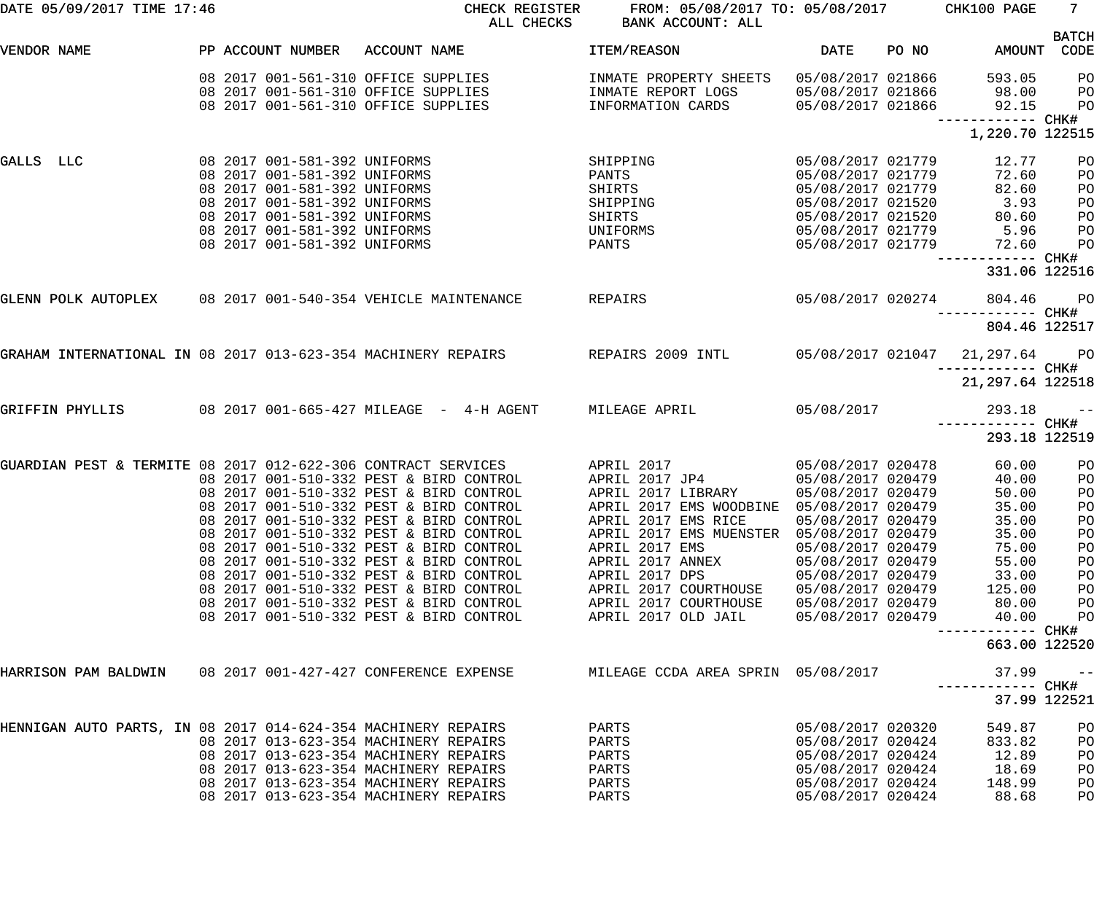| DATE 05/09/2017 TIME 17:46                                      |                                                                                                                                                                                                                              | CHECK REGISTER<br>ALL CHECKS                                                                                                                                                                                                                                                                                                                                                                                                                                                          | FROM: 05/08/2017 TO: 05/08/2017 CHK100 PAGE<br>BANK ACCOUNT: ALL                                                                                                                                                                                                                   |                                                                                                                                                                                                                                     |       |                                                                                                                                                 | 7 <sub>1</sub>                                                       |
|-----------------------------------------------------------------|------------------------------------------------------------------------------------------------------------------------------------------------------------------------------------------------------------------------------|---------------------------------------------------------------------------------------------------------------------------------------------------------------------------------------------------------------------------------------------------------------------------------------------------------------------------------------------------------------------------------------------------------------------------------------------------------------------------------------|------------------------------------------------------------------------------------------------------------------------------------------------------------------------------------------------------------------------------------------------------------------------------------|-------------------------------------------------------------------------------------------------------------------------------------------------------------------------------------------------------------------------------------|-------|-------------------------------------------------------------------------------------------------------------------------------------------------|----------------------------------------------------------------------|
| VENDOR NAME                                                     | PP ACCOUNT NUMBER                                                                                                                                                                                                            | ACCOUNT NAME                                                                                                                                                                                                                                                                                                                                                                                                                                                                          | ITEM/REASON                                                                                                                                                                                                                                                                        | <b>DATE</b>                                                                                                                                                                                                                         | PO NO | AMOUNT CODE                                                                                                                                     | <b>BATCH</b>                                                         |
|                                                                 |                                                                                                                                                                                                                              | 08 2017 001-561-310 OFFICE SUPPLIES<br>08 2017 001-561-310 OFFICE SUPPLIES<br>08 2017 001-561-310 OFFICE SUPPLIES                                                                                                                                                                                                                                                                                                                                                                     | INMATE PROPERTY SHEETS<br>INMATE REPORT LOGS<br>INFORMATION CARDS                                                                                                                                                                                                                  | 05/08/2017 021866<br>05/08/2017 021866<br>05/08/2017 021866                                                                                                                                                                         |       | 593.05<br>98.00<br>92.15                                                                                                                        | P <sub>O</sub><br>PО<br>P <sub>O</sub>                               |
|                                                                 |                                                                                                                                                                                                                              |                                                                                                                                                                                                                                                                                                                                                                                                                                                                                       |                                                                                                                                                                                                                                                                                    |                                                                                                                                                                                                                                     |       | ------------ CHK#<br>1,220.70 122515                                                                                                            |                                                                      |
| GALLS LLC                                                       | 08 2017 001-581-392 UNIFORMS<br>08 2017 001-581-392 UNIFORMS<br>08 2017 001-581-392 UNIFORMS<br>08 2017 001-581-392 UNIFORMS<br>08 2017 001-581-392 UNIFORMS<br>08 2017 001-581-392 UNIFORMS<br>08 2017 001-581-392 UNIFORMS |                                                                                                                                                                                                                                                                                                                                                                                                                                                                                       | SHIPPING<br>PANTS<br>SHIRTS<br>SHIPPING<br>SHIRTS<br>UNIFORMS<br>PANTS                                                                                                                                                                                                             | 05/08/2017 021779<br>05/08/2017 021779<br>05/08/2017 021779<br>05/08/2017 021520<br>05/08/2017 021520<br>05/08/2017 021779<br>05/08/2017 021779                                                                                     |       | 12.77<br>72.60<br>82.60<br>3.93<br>80.60<br>5.96<br>72.60                                                                                       | PO<br>PO<br>PO<br>PO<br>PO<br>PO<br>PO                               |
|                                                                 |                                                                                                                                                                                                                              |                                                                                                                                                                                                                                                                                                                                                                                                                                                                                       |                                                                                                                                                                                                                                                                                    |                                                                                                                                                                                                                                     |       | 331.06 122516                                                                                                                                   |                                                                      |
| GLENN POLK AUTOPLEX 08 2017 001-540-354 VEHICLE MAINTENANCE     |                                                                                                                                                                                                                              |                                                                                                                                                                                                                                                                                                                                                                                                                                                                                       | REPAIRS                                                                                                                                                                                                                                                                            | 05/08/2017 020274                                                                                                                                                                                                                   |       | 804.46<br>-----------         CHK#<br>804.46 122517                                                                                             | <b>PO</b>                                                            |
| GRAHAM INTERNATIONAL IN 08 2017 013-623-354 MACHINERY REPAIRS   |                                                                                                                                                                                                                              |                                                                                                                                                                                                                                                                                                                                                                                                                                                                                       | REPAIRS 2009 INTL 05/08/2017 021047                                                                                                                                                                                                                                                |                                                                                                                                                                                                                                     |       | 21,297.64 PO                                                                                                                                    |                                                                      |
|                                                                 |                                                                                                                                                                                                                              |                                                                                                                                                                                                                                                                                                                                                                                                                                                                                       |                                                                                                                                                                                                                                                                                    |                                                                                                                                                                                                                                     |       | ------------ CHK#<br>21,297.64 122518                                                                                                           |                                                                      |
| GRIFFIN PHYLLIS                                                 |                                                                                                                                                                                                                              | 08  2017  001-665-427  MILEAGE - 4-H  AGENT                                                                                                                                                                                                                                                                                                                                                                                                                                           | MILEAGE APRIL                                                                                                                                                                                                                                                                      | 05/08/2017                                                                                                                                                                                                                          |       | 293.18<br>------------ CHK#                                                                                                                     | $ -$                                                                 |
|                                                                 |                                                                                                                                                                                                                              |                                                                                                                                                                                                                                                                                                                                                                                                                                                                                       |                                                                                                                                                                                                                                                                                    |                                                                                                                                                                                                                                     |       | 293.18 122519                                                                                                                                   |                                                                      |
| GUARDIAN PEST & TERMITE 08 2017 012-622-306 CONTRACT SERVICES   |                                                                                                                                                                                                                              | 08 2017 001-510-332 PEST & BIRD CONTROL<br>08 2017 001-510-332 PEST & BIRD CONTROL<br>08 2017 001-510-332 PEST & BIRD CONTROL<br>08 2017 001-510-332 PEST & BIRD CONTROL<br>08 2017 001-510-332 PEST & BIRD CONTROL<br>08 2017 001-510-332 PEST & BIRD CONTROL<br>08 2017 001-510-332 PEST & BIRD CONTROL<br>08 2017 001-510-332 PEST & BIRD CONTROL<br>08 2017 001-510-332 PEST & BIRD CONTROL<br>08 2017 001-510-332 PEST & BIRD CONTROL<br>08 2017 001-510-332 PEST & BIRD CONTROL | APRIL 2017<br>APRIL 2017 JP4<br>APRIL 2017 LIBRARY<br>APRIL 2017 EMS WOODBINE<br>APRIL 2017 EMS RICE<br>APRIL 2017 EMS MUENSTER 05/08/2017 020479<br>APRIL 2017 EMS<br>APRIL 2017 ANNEX<br>APRIL 2017 DPS<br>APRIL 2017 COURTHOUSE<br>APRIL 2017 COURTHOUSE<br>APRIL 2017 OLD JAIL | 05/08/2017 020478<br>05/08/2017 020479<br>05/08/2017 020479<br>05/08/2017 020479<br>05/08/2017 020479<br>05/08/2017 020479<br>05/08/2017 020479<br>05/08/2017 020479<br>05/08/2017 020479<br>05/08/2017 020479<br>05/08/2017 020479 |       | 60.00<br>40.00<br>50.00<br>35.00<br>35.00<br>35.00<br>75.00<br>55.00<br>33.00<br>125.00<br>80.00<br>40.00<br>------------ CHK#<br>663.00 122520 | PO<br>PO<br>PO<br>PO<br>PO<br>PO<br>PO<br>PO<br>PO<br>PO<br>PO<br>PO |
| HARRISON PAM BALDWIN     08 2017 001-427-427 CONFERENCE EXPENSE |                                                                                                                                                                                                                              |                                                                                                                                                                                                                                                                                                                                                                                                                                                                                       | MILEAGE CCDA AREA SPRIN 05/08/2017                                                                                                                                                                                                                                                 |                                                                                                                                                                                                                                     |       | 37.99                                                                                                                                           | $- -$                                                                |
| HENNIGAN AUTO PARTS, IN 08 2017 014-624-354 MACHINERY REPAIRS   |                                                                                                                                                                                                                              | 08 2017 013-623-354 MACHINERY REPAIRS<br>08 2017 013-623-354 MACHINERY REPAIRS<br>08 2017 013-623-354 MACHINERY REPAIRS<br>08 2017 013-623-354 MACHINERY REPAIRS<br>08 2017 013-623-354 MACHINERY REPAIRS                                                                                                                                                                                                                                                                             | PARTS<br>PARTS<br>PARTS<br>PARTS<br>PARTS<br>PARTS                                                                                                                                                                                                                                 | 05/08/2017 020320<br>05/08/2017 020424<br>05/08/2017 020424<br>05/08/2017 020424<br>05/08/2017 020424<br>05/08/2017 020424                                                                                                          |       | 549.87<br>833.82<br>12.89<br>18.69<br>148.99<br>88.68                                                                                           | 37.99 122521<br>PO<br>PO<br>PO<br>PO<br>PO<br>PO                     |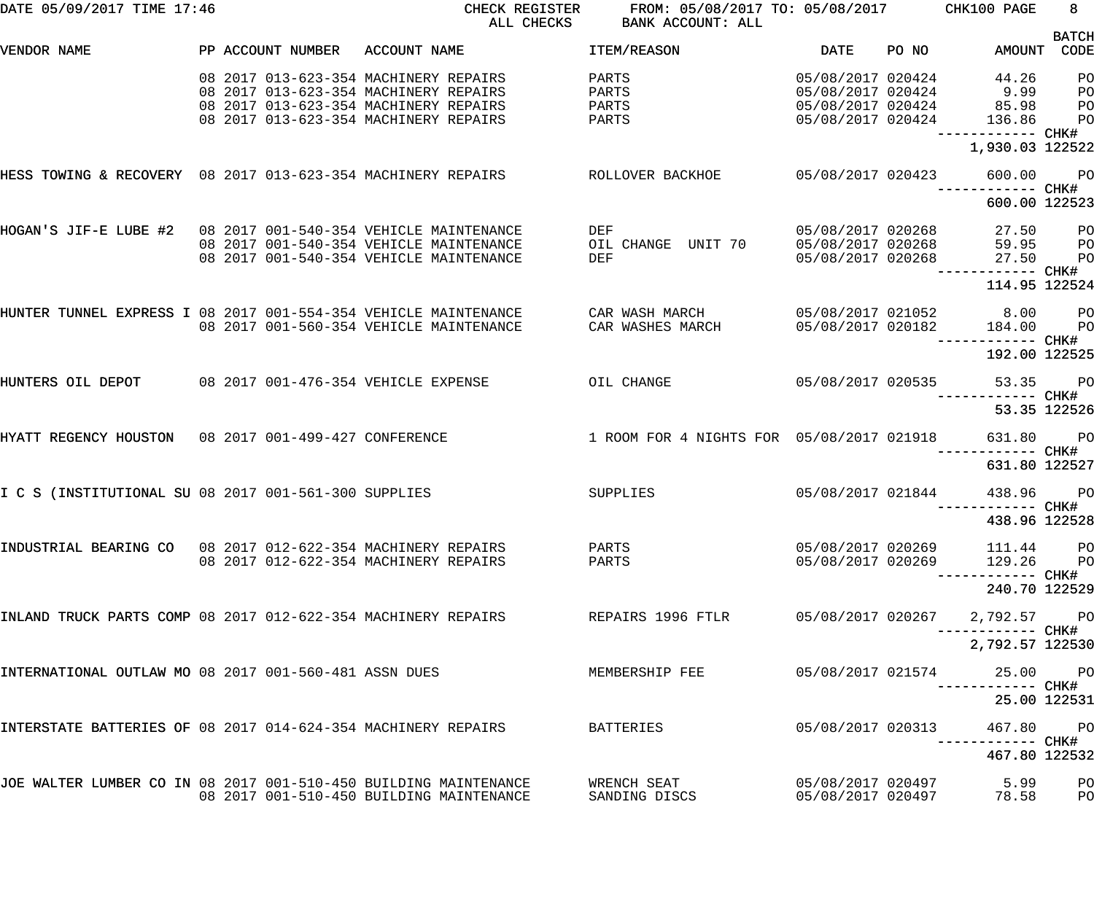| DATE 05/09/2017 TIME 17:46                                       |  |                                                                                                                                                                     | CHECK REGISTER FROM: 05/08/2017 TO: 05/08/2017 CHK100 PAGE<br>ALL CHECKS BANK ACCOUNT: ALL                                    |                                        |       |                                                  | $8 -$                      |
|------------------------------------------------------------------|--|---------------------------------------------------------------------------------------------------------------------------------------------------------------------|-------------------------------------------------------------------------------------------------------------------------------|----------------------------------------|-------|--------------------------------------------------|----------------------------|
| VENDOR NAME                                                      |  | PP ACCOUNT NUMBER ACCOUNT NAME                                                                                                                                      | and the state of the DATE of the STATE of the STATE of the STATE of the STATE of the STATE of the STATE of the<br>ITEM/REASON |                                        | PO NO | AMOUNT CODE                                      | <b>BATCH</b>               |
|                                                                  |  | 08 2017 013-623-354 MACHINERY REPAIRS<br>08 2017 013-623-354 MACHINERY REPAIRS<br>08 2017 013-623-354 MACHINERY REPAIRS<br>08 2017 013-623-354 MACHINERY REPAIRS    | PARTS<br>PARTS 05/08/2017 020424 9.99<br>PARTS 05/08/2017 020424 85.98<br>PARTS 05/08/2017 020424 136.86 PO                   |                                        |       | 05/08/2017 020424 44.26                          | P <sub>O</sub><br>PO<br>PO |
|                                                                  |  |                                                                                                                                                                     |                                                                                                                               |                                        |       | ------------ CHK#<br>1,930.03 122522             |                            |
|                                                                  |  | HESS TOWING & RECOVERY 08 2017 013-623-354 MACHINERY REPAIRS AND ROLLOVER BACKHOE NO 105/08/2017 020423 600.00 PO                                                   |                                                                                                                               |                                        |       | ------------ CHK#                                |                            |
|                                                                  |  |                                                                                                                                                                     |                                                                                                                               |                                        |       | 600.00 122523                                    |                            |
| HOGAN'S JIF-E LUBE #2 08 2017 001-540-354 VEHICLE MAINTENANCE    |  | 08 2017 001-540-354 VEHICLE MAINTENANCE<br>08 2017 001-540-354 VEHICLE MAINTENANCE                                                                                  | DEF<br>$05/08/2017$ 020268 $27.50$ PO<br>DEF                                                                                  |                                        |       | 05/08/2017 020268 27.50                          | $P$ O<br>P <sub>O</sub>    |
|                                                                  |  |                                                                                                                                                                     |                                                                                                                               |                                        |       | ------------ CHK#<br>114.95 122524               |                            |
|                                                                  |  | HUNTER TUNNEL EXPRESS I 08 2017 001-554-354 VEHICLE MAINTENANCE     CAR WASH MARCH       05/08/2017 021052     8.00   PO<br>08 2017 001-560-354 VEHICLE MAINTENANCE | CAR WASHES MARCH                                                                                                              |                                        |       | 05/08/2017 020182 184.00 PO<br>------------ CHK# |                            |
|                                                                  |  |                                                                                                                                                                     |                                                                                                                               |                                        |       | 192.00 122525                                    |                            |
|                                                                  |  | HUNTERS OIL DEPOT     08 2017 001-476-354 VEHICLE EXPENSE       OIL CHANGE        05/08/2017 020535     53.35   PO                                                  |                                                                                                                               |                                        |       |                                                  |                            |
|                                                                  |  |                                                                                                                                                                     |                                                                                                                               |                                        |       | ------------ CHK#<br>53.35 122526                |                            |
|                                                                  |  | HYATT REGENCY HOUSTON 08 2017 001-499-427 CONFERENCE                                                                                                                | 1 ROOM FOR 4 NIGHTS FOR 05/08/2017 021918 631.80 PO                                                                           |                                        |       |                                                  |                            |
|                                                                  |  |                                                                                                                                                                     |                                                                                                                               |                                        |       | 631.80 122527                                    |                            |
| I C S (INSTITUTIONAL SU 08 2017 001-561-300 SUPPLIES             |  |                                                                                                                                                                     | SUPPLIES                                                                                                                      | 05/08/2017 021844                      |       | 438.96 PO                                        |                            |
|                                                                  |  |                                                                                                                                                                     |                                                                                                                               |                                        |       | 438.96 122528                                    |                            |
| INDUSTRIAL BEARING CO 08 2017 012-622-354 MACHINERY REPAIRS      |  | 08 2017 012-622-354 MACHINERY REPAIRS                                                                                                                               | PARTS<br>PARTS                                                                                                                | 05/08/2017 020269<br>05/08/2017 020269 |       | 111.44<br>129.26 PO                              | P <sub>O</sub>             |
|                                                                  |  |                                                                                                                                                                     |                                                                                                                               |                                        |       | 240.70 122529                                    |                            |
| INLAND TRUCK PARTS COMP 08 2017 012-622-354 MACHINERY REPAIRS    |  |                                                                                                                                                                     | REPAIRS 1996 FTLR                                                                                                             | 05/08/2017 020267                      |       | 2,792.57 PO<br>----------- CHK#                  |                            |
|                                                                  |  |                                                                                                                                                                     |                                                                                                                               |                                        |       | 2,792.57 122530                                  |                            |
| INTERNATIONAL OUTLAW MO 08 2017 001-560-481 ASSN DUES            |  |                                                                                                                                                                     | MEMBERSHIP FEE                                                                                                                | 05/08/2017 021574                      |       | 25.00 PO                                         |                            |
|                                                                  |  |                                                                                                                                                                     |                                                                                                                               |                                        |       | 25.00 122531                                     |                            |
| INTERSTATE BATTERIES OF 08 2017 014-624-354 MACHINERY REPAIRS    |  |                                                                                                                                                                     | BATTERIES                                                                                                                     | 05/08/2017 020313                      |       | 467.80                                           | <b>PO</b>                  |
|                                                                  |  |                                                                                                                                                                     |                                                                                                                               |                                        |       | 467.80 122532                                    |                            |
| JOE WALTER LUMBER CO IN 08 2017 001-510-450 BUILDING MAINTENANCE |  | 08 2017 001-510-450 BUILDING MAINTENANCE                                                                                                                            | WRENCH SEAT<br>SANDING DISCS                                                                                                  | 05/08/2017 020497<br>05/08/2017 020497 |       | 5.99<br>78.58                                    | PO<br>PO                   |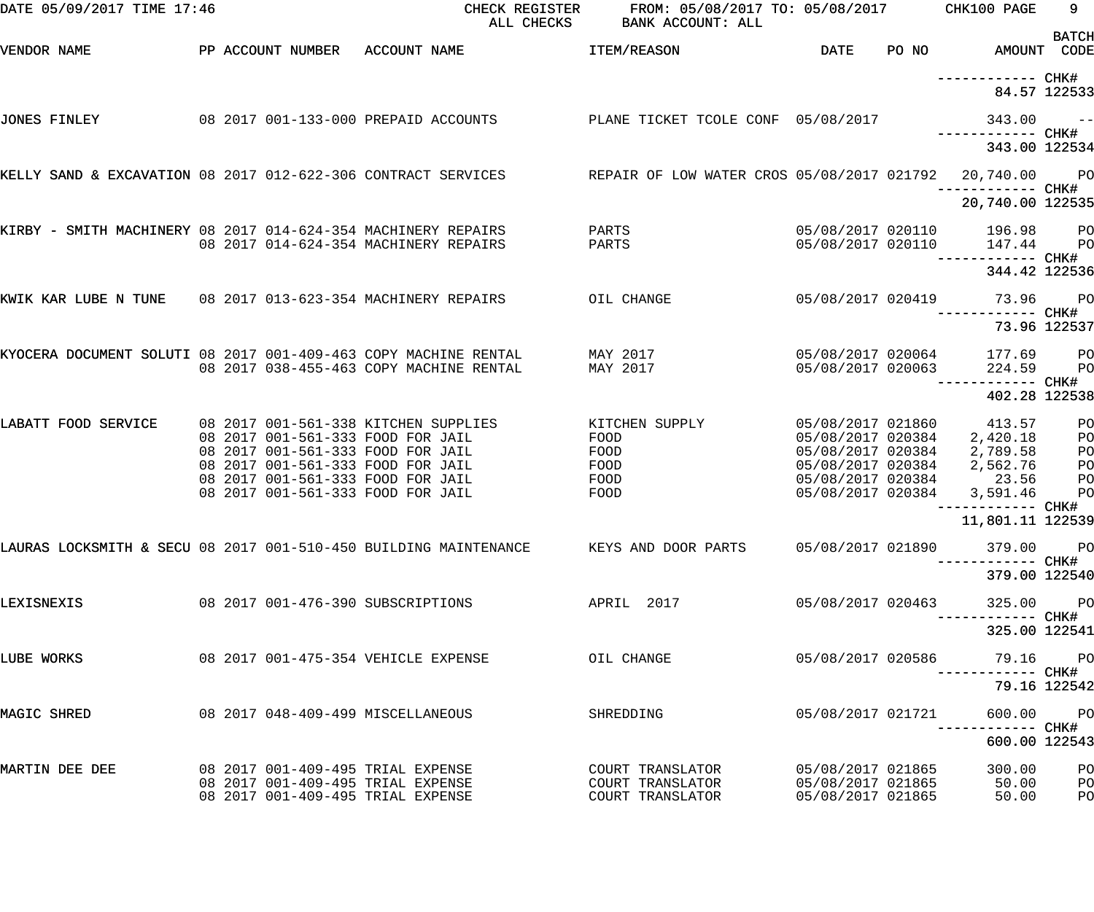| DATE 05/09/2017 TIME 17:46                                       |  | CHECK REGISTER<br>ALL CHECKS                                                                                                                                                                                                  | FROM: 05/08/2017 TO: 05/08/2017<br>BANK ACCOUNT: ALL     |                                                                                                                            | CHK100 PAGE                                                                          | 9<br><b>BATCH</b>                 |
|------------------------------------------------------------------|--|-------------------------------------------------------------------------------------------------------------------------------------------------------------------------------------------------------------------------------|----------------------------------------------------------|----------------------------------------------------------------------------------------------------------------------------|--------------------------------------------------------------------------------------|-----------------------------------|
| VENDOR NAME                                                      |  | PP ACCOUNT NUMBER ACCOUNT NAME                                                                                                                                                                                                | <b>ITEM/REASON</b>                                       | <b>DATE</b>                                                                                                                | PO NO AMOUNT CODE                                                                    |                                   |
|                                                                  |  |                                                                                                                                                                                                                               |                                                          |                                                                                                                            |                                                                                      | 84.57 122533                      |
| JONES FINLEY                                                     |  | 08 2017 001-133-000 PREPAID ACCOUNTS                                                                                                                                                                                          | PLANE TICKET TCOLE CONF 05/08/2017                       |                                                                                                                            | $343.00 - -$<br>------------ CHK#                                                    |                                   |
|                                                                  |  |                                                                                                                                                                                                                               |                                                          |                                                                                                                            | 343.00 122534                                                                        |                                   |
|                                                                  |  | KELLY SAND & EXCAVATION 08 2017 012-622-306 CONTRACT SERVICES REPAIR OF LOW WATER CROS 05/08/2017 021792                                                                                                                      |                                                          |                                                                                                                            | 20,740.00 PO<br>------------ CHK#                                                    |                                   |
|                                                                  |  |                                                                                                                                                                                                                               |                                                          |                                                                                                                            | 20,740.00 122535                                                                     |                                   |
| KIRBY - SMITH MACHINERY 08 2017 014-624-354 MACHINERY REPAIRS    |  | 08 2017 014-624-354 MACHINERY REPAIRS                                                                                                                                                                                         | PARTS<br>PARTS                                           | 05/08/2017 020110                                                                                                          | 05/08/2017 020110 196.98 PO<br>147.44                                                | <b>PO</b>                         |
|                                                                  |  |                                                                                                                                                                                                                               |                                                          |                                                                                                                            | ------------ CHK#<br>344.42 122536                                                   |                                   |
| KWIK KAR LUBE N TUNE 08 2017 013-623-354 MACHINERY REPAIRS       |  |                                                                                                                                                                                                                               | OIL CHANGE                                               | 05/08/2017 020419                                                                                                          | 73.96                                                                                | $P$ O                             |
|                                                                  |  |                                                                                                                                                                                                                               |                                                          |                                                                                                                            |                                                                                      | 73.96 122537                      |
| KYOCERA DOCUMENT SOLUTI 08 2017 001-409-463 COPY MACHINE RENTAL  |  | 08 2017 038-455-463 COPY MACHINE RENTAL                                                                                                                                                                                       | MAY 2017<br>MAY 2017                                     | 05/08/2017 020064<br>05/08/2017 020063                                                                                     | 177.69<br>224.59                                                                     | PO <sub>1</sub><br>P <sub>O</sub> |
|                                                                  |  |                                                                                                                                                                                                                               |                                                          |                                                                                                                            | 402.28 122538                                                                        |                                   |
| LABATT FOOD SERVICE                                              |  | 08 2017 001-561-338 KITCHEN SUPPLIES<br>08 2017 001-561-333 FOOD FOR JAIL<br>08 2017 001-561-333 FOOD FOR JAIL<br>08 2017 001-561-333 FOOD FOR JAIL<br>08 2017 001-561-333 FOOD FOR JAIL<br>08 2017 001-561-333 FOOD FOR JAIL | KITCHEN SUPPLY<br>FOOD<br>FOOD<br>FOOD<br>FOOD<br>FOOD   | 05/08/2017 021860<br>05/08/2017 020384<br>05/08/2017 020384<br>05/08/2017 020384<br>05/08/2017 020384<br>05/08/2017 020384 | 413.57<br>2,420.18<br>2,789.58<br>2,562.76<br>23.56<br>3,591.46<br>------------ CHK# | PO<br>PO<br>PO<br>PO<br>PO<br>PO  |
|                                                                  |  |                                                                                                                                                                                                                               |                                                          |                                                                                                                            | 11,801.11 122539                                                                     |                                   |
| LAURAS LOCKSMITH & SECU 08 2017 001-510-450 BUILDING MAINTENANCE |  |                                                                                                                                                                                                                               | KEYS AND DOOR PARTS                                      | 05/08/2017 021890                                                                                                          | 379.00 PO                                                                            |                                   |
|                                                                  |  |                                                                                                                                                                                                                               |                                                          |                                                                                                                            | 379.00 122540                                                                        |                                   |
| LEXISNEXIS                                                       |  | 08  2017  001-476-390  SUBSCRIPTIONS                                                                                                                                                                                          | APRIL 2017                                               | 05/08/2017 020463                                                                                                          | 325.00 PO                                                                            |                                   |
|                                                                  |  |                                                                                                                                                                                                                               |                                                          |                                                                                                                            | 325.00 122541                                                                        |                                   |
| LUBE WORKS                                                       |  | 08 2017 001-475-354 VEHICLE EXPENSE                                                                                                                                                                                           | OIL CHANGE                                               | 05/08/2017 020586                                                                                                          | 79.16 PO                                                                             |                                   |
|                                                                  |  |                                                                                                                                                                                                                               |                                                          |                                                                                                                            |                                                                                      | 79.16 122542                      |
| MAGIC SHRED                                                      |  | 08 2017 048-409-499 MISCELLANEOUS                                                                                                                                                                                             | SHREDDING                                                | 05/08/2017 021721                                                                                                          | 600.00 PO                                                                            |                                   |
|                                                                  |  |                                                                                                                                                                                                                               |                                                          |                                                                                                                            | 600.00 122543                                                                        |                                   |
| MARTIN DEE DEE                                                   |  | 08 2017 001-409-495 TRIAL EXPENSE<br>08 2017 001-409-495 TRIAL EXPENSE<br>08 2017 001-409-495 TRIAL EXPENSE                                                                                                                   | COURT TRANSLATOR<br>COURT TRANSLATOR<br>COURT TRANSLATOR | 05/08/2017 021865<br>05/08/2017 021865<br>05/08/2017 021865                                                                | 300.00<br>50.00<br>50.00                                                             | PO<br>PO<br>PO                    |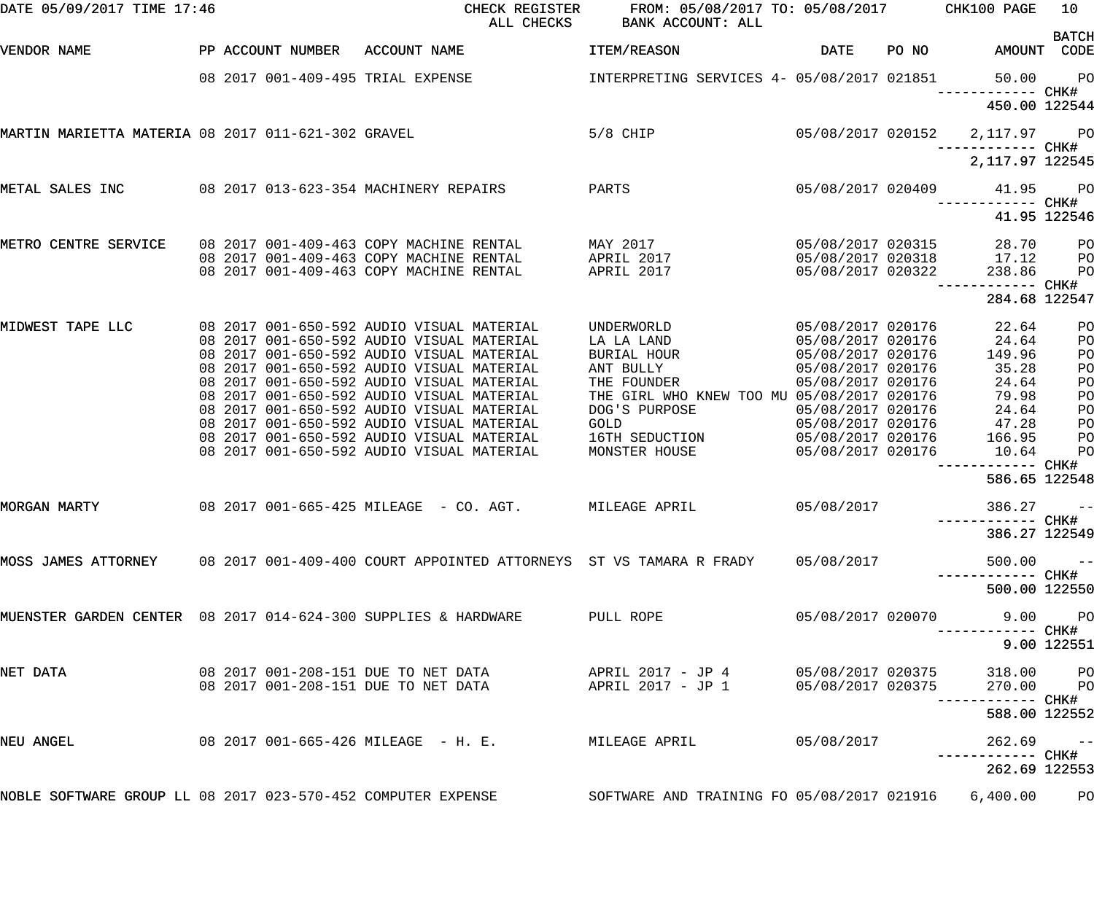| DATE 05/09/2017 TIME 17:46                                   |                   | CHECK REGISTER<br>ALL CHECKS                                                                                                                                                                           | FROM: 05/08/2017 TO: 05/08/2017 CHK100 PAGE<br>BANK ACCOUNT: ALL |                   |       |                             | 10             |
|--------------------------------------------------------------|-------------------|--------------------------------------------------------------------------------------------------------------------------------------------------------------------------------------------------------|------------------------------------------------------------------|-------------------|-------|-----------------------------|----------------|
| VENDOR NAME                                                  | PP ACCOUNT NUMBER | ACCOUNT NAME                                                                                                                                                                                           | ITEM/REASON                                                      | <b>DATE</b>       | PO NO | AMOUNT CODE                 | <b>BATCH</b>   |
|                                                              |                   | 08 2017 001-409-495 TRIAL EXPENSE                                                                                                                                                                      | INTERPRETING SERVICES 4- 05/08/2017 021851                       |                   |       | 50.00<br>------------ CHK#  | P <sub>O</sub> |
|                                                              |                   |                                                                                                                                                                                                        |                                                                  |                   |       | 450.00 122544               |                |
| MARTIN MARIETTA MATERIA 08 2017 011-621-302 GRAVEL           |                   |                                                                                                                                                                                                        | $5/8$ CHIP                                                       | 05/08/2017 020152 |       | 2,117.97<br>—————————— CHK# | <b>PO</b>      |
|                                                              |                   |                                                                                                                                                                                                        |                                                                  |                   |       | 2, 117.97 122545            |                |
| METAL SALES INC                                              |                   | 08 2017 013-623-354 MACHINERY REPAIRS                                                                                                                                                                  | PARTS                                                            | 05/08/2017 020409 |       | 41.95<br>------ CHK#        | <b>PO</b>      |
|                                                              |                   |                                                                                                                                                                                                        |                                                                  |                   |       |                             | 41.95 122546   |
| METRO CENTRE SERVICE                                         |                   | 08 2017 001-409-463 COPY MACHINE RENTAL                                                                                                                                                                | MAY 2017                                                         | 05/08/2017 020315 |       | 28.70                       | P <sub>O</sub> |
|                                                              |                   | 08 2017 001-409-463 COPY MACHINE RENTAL                                                                                                                                                                | APRIL 2017                                                       | 05/08/2017 020318 |       | 17.12                       | PO             |
|                                                              |                   | 08 2017 001-409-463 COPY MACHINE RENTAL                                                                                                                                                                | APRIL 2017                                                       | 05/08/2017 020322 |       | 238.86                      | PO             |
|                                                              |                   |                                                                                                                                                                                                        |                                                                  |                   |       | 284.68 122547               |                |
| MIDWEST TAPE LLC                                             |                   | 08 2017 001-650-592 AUDIO VISUAL MATERIAL                                                                                                                                                              | UNDERWORLD                                                       | 05/08/2017 020176 |       | 22.64                       | PO             |
|                                                              |                   | 08 2017 001-650-592 AUDIO VISUAL MATERIAL                                                                                                                                                              | LA LA LAND                                                       | 05/08/2017 020176 |       | 24.64                       | PO             |
|                                                              |                   | 08 2017 001-650-592 AUDIO VISUAL MATERIAL                                                                                                                                                              | BURIAL HOUR                                                      | 05/08/2017 020176 |       | 149.96                      | PO             |
|                                                              |                   | 08 2017 001-650-592 AUDIO VISUAL MATERIAL                                                                                                                                                              | ANT BULLY                                                        | 05/08/2017 020176 |       | 35.28                       | PO             |
|                                                              |                   | 08 2017 001-650-592 AUDIO VISUAL MATERIAL                                                                                                                                                              | THE FOUNDER                                                      | 05/08/2017 020176 |       | 24.64                       | PO             |
|                                                              |                   | 08 2017 001-650-592 AUDIO VISUAL MATERIAL                                                                                                                                                              |                                                                  |                   |       |                             |                |
|                                                              |                   |                                                                                                                                                                                                        | THE GIRL WHO KNEW TOO MU 05/08/2017 020176                       |                   |       | 79.98                       | PO             |
|                                                              |                   | 08 2017 001-650-592 AUDIO VISUAL MATERIAL                                                                                                                                                              | DOG'S PURPOSE                                                    | 05/08/2017 020176 |       | 24.64                       | PO             |
|                                                              |                   | 08 2017 001-650-592 AUDIO VISUAL MATERIAL                                                                                                                                                              | <b>GOLD</b>                                                      | 05/08/2017 020176 |       | 47.28                       | PO             |
|                                                              |                   | 08 2017 001-650-592 AUDIO VISUAL MATERIAL                                                                                                                                                              | 16TH SEDUCTION                                                   | 05/08/2017 020176 |       | 166.95                      | PO             |
|                                                              |                   | 08 2017 001-650-592 AUDIO VISUAL MATERIAL                                                                                                                                                              | MONSTER HOUSE                                                    | 05/08/2017 020176 |       | 10.64<br>------------ CHK#  | PO             |
|                                                              |                   |                                                                                                                                                                                                        |                                                                  |                   |       | 586.65 122548               |                |
| MORGAN MARTY                                                 |                   | 08  2017  001-665-425  MILEAGE - CO. AGT.                                                                                                                                                              | MILEAGE APRIL                                                    | 05/08/2017        |       | 386.27                      | $- -$          |
|                                                              |                   |                                                                                                                                                                                                        |                                                                  |                   |       | 386.27 122549               |                |
|                                                              |                   | MOSS JAMES ATTORNEY   08 2017 001-409-400 COURT APPOINTED ATTORNEYS  ST VS TAMARA R FRADY   05/08/2017                                                                                                 |                                                                  |                   |       | 500.00                      | $ -$           |
|                                                              |                   |                                                                                                                                                                                                        |                                                                  |                   |       | 500.00 122550               |                |
|                                                              |                   | MUENSTER GARDEN CENTER 08 2017 014-624-300 SUPPLIES & HARDWARE                                                                                                                                         | PULL ROPE                                                        | 05/08/2017 020070 |       | -----------         CHK#    | 9.00 PO        |
|                                                              |                   |                                                                                                                                                                                                        |                                                                  |                   |       |                             | 9.00 122551    |
| NET DATA                                                     |                   |                                                                                                                                                                                                        |                                                                  |                   |       | 318.00 PO                   |                |
|                                                              |                   | 08 2017 001–208–151 DUE TO NET DATA                   APRIL 2017 – JP 4           05/08/2017 020375<br>08 2017 001–208–151 DUE TO NET DATA                 APRIL 2017 – JP 1         05/08/2017 020375 |                                                                  |                   |       | 270.00 PO                   |                |
|                                                              |                   |                                                                                                                                                                                                        |                                                                  |                   |       |                             |                |
|                                                              |                   |                                                                                                                                                                                                        |                                                                  |                   |       | 588.00 122552               |                |
| NEU ANGEL                                                    |                   | 08  2017  001-665-426  MILEAGE  - H. E.           MILEAGE APRIL                                                                                                                                        |                                                                  | 05/08/2017        |       | $262.69$ --                 |                |
|                                                              |                   |                                                                                                                                                                                                        |                                                                  |                   |       | 262.69 122553               |                |
| NOBLE SOFTWARE GROUP LL 08 2017 023-570-452 COMPUTER EXPENSE |                   |                                                                                                                                                                                                        | SOFTWARE AND TRAINING FO 05/08/2017 021916 6,400.00              |                   |       |                             | P <sub>O</sub> |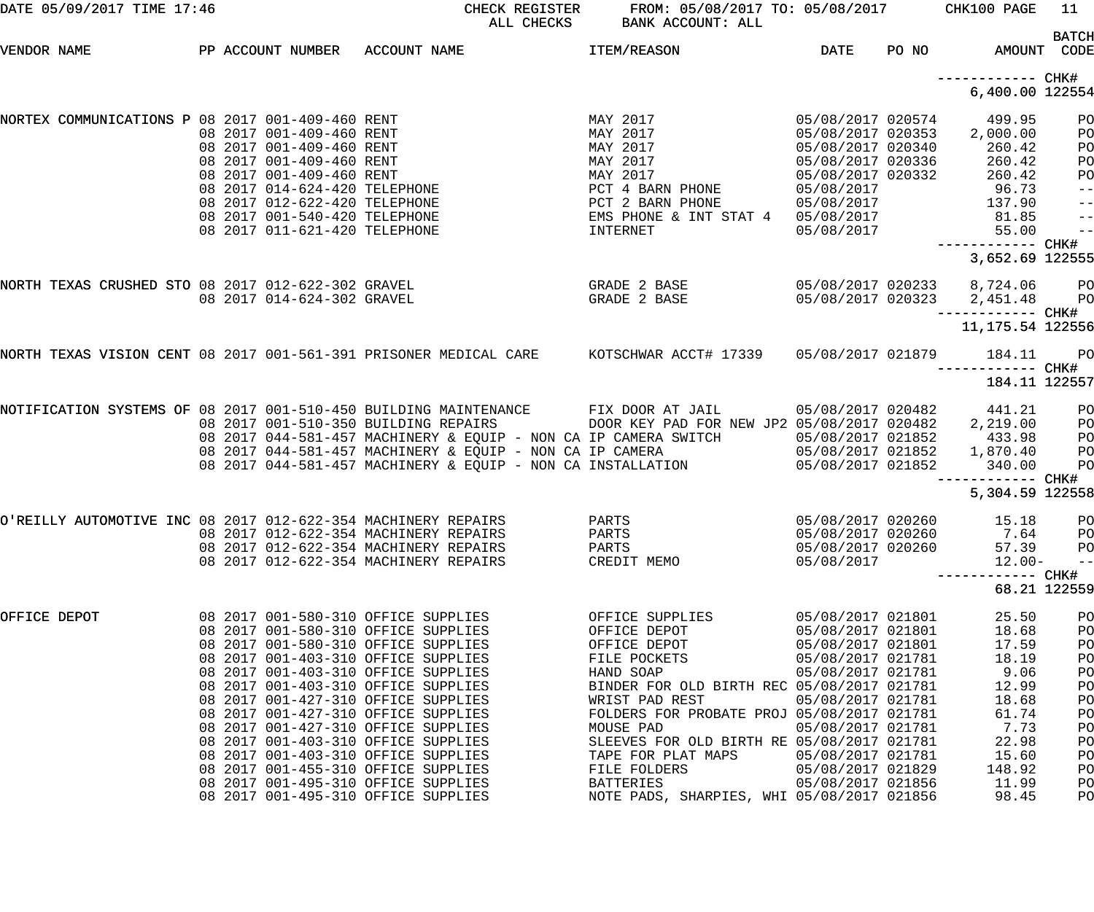| DATE 05/09/2017 TIME 17:46                                                                                                                                                                                                                                                                                                                                                                                                                                                                                                                                                     | CHECK REGISTER<br>BANK ACCOUNT: ALL<br>ALL CHECKS                                                                                                                                                                                                        | FROM: 05/08/2017 TO: 05/08/2017 CHK100 PAGE                                                                                                                                                                                                                                                                                                                                                            |                                                                                                                           | - 11                                                                             |
|--------------------------------------------------------------------------------------------------------------------------------------------------------------------------------------------------------------------------------------------------------------------------------------------------------------------------------------------------------------------------------------------------------------------------------------------------------------------------------------------------------------------------------------------------------------------------------|----------------------------------------------------------------------------------------------------------------------------------------------------------------------------------------------------------------------------------------------------------|--------------------------------------------------------------------------------------------------------------------------------------------------------------------------------------------------------------------------------------------------------------------------------------------------------------------------------------------------------------------------------------------------------|---------------------------------------------------------------------------------------------------------------------------|----------------------------------------------------------------------------------|
| PP ACCOUNT NUMBER ACCOUNT NAME<br>VENDOR NAME                                                                                                                                                                                                                                                                                                                                                                                                                                                                                                                                  | <b>ITEM/REASON</b>                                                                                                                                                                                                                                       | DATE                                                                                                                                                                                                                                                                                                                                                                                                   | PO NO<br>AMOUNT CODE                                                                                                      | <b>BATCH</b>                                                                     |
|                                                                                                                                                                                                                                                                                                                                                                                                                                                                                                                                                                                |                                                                                                                                                                                                                                                          |                                                                                                                                                                                                                                                                                                                                                                                                        | ------------ CHK#<br>6,400.00 122554                                                                                      |                                                                                  |
| NORTEX COMMUNICATIONS P 08 2017 001-409-460 RENT<br>08 2017 001-409-460 RENT<br>08 2017 001-409-460 RENT<br>08 2017 001-409-460 RENT<br>08 2017 001-409-460 RENT<br>08 2017 014-624-420 TELEPHONE<br>08 2017 012-622-420 TELEPHONE<br>08 2017 001-5                                                                                                                                                                                                                                                                                                                            | MAY 2017<br>MAY 2017<br>MAY 2017<br>MAY 2017<br>MAY 2017<br>PCT 4 BARN PHONE<br>INTERNET                                                                                                                                                                 | 05/08/2017 020574<br>05/08/2017 020353<br>05/08/2017 020340<br>05/08/2017 020336<br>05/08/2017 020332<br>05/08/2017<br>PCT 2 BARN PHONE<br>EMS PHONE & INT STAT 4 05/08/2017<br>INTERNET 05/08/2017<br>05/08/2017                                                                                                                                                                                      | 499.95<br>2,000.00<br>260.42<br>260.42<br>260.42<br>96.73<br>137.90<br>81.85<br>55.00                                     | PO<br>PO<br>PO<br>PO<br>PO<br>$-$ -<br>$ -$<br>$ -$<br>$-$                       |
|                                                                                                                                                                                                                                                                                                                                                                                                                                                                                                                                                                                |                                                                                                                                                                                                                                                          |                                                                                                                                                                                                                                                                                                                                                                                                        | 3,652.69 122555                                                                                                           |                                                                                  |
| NORTH TEXAS CRUSHED STO 08 2017 012-622-302 GRAVEL<br>08 2017 014-624-302 GRAVEL                                                                                                                                                                                                                                                                                                                                                                                                                                                                                               | GRADE 2 BASE<br>GRADE 2 BASE                                                                                                                                                                                                                             | 05/08/2017 020323                                                                                                                                                                                                                                                                                                                                                                                      | 05/08/2017 020233 8,724.06 PO<br>2,451.48<br>11, 175.54 122556                                                            | PO                                                                               |
| NORTH TEXAS VISION CENT 08 2017 001-561-391 PRISONER MEDICAL CARE KOTSCHWAR ACCT# 17339 05/08/2017 021879                                                                                                                                                                                                                                                                                                                                                                                                                                                                      |                                                                                                                                                                                                                                                          |                                                                                                                                                                                                                                                                                                                                                                                                        | 184.11                                                                                                                    | <b>PO</b>                                                                        |
|                                                                                                                                                                                                                                                                                                                                                                                                                                                                                                                                                                                |                                                                                                                                                                                                                                                          |                                                                                                                                                                                                                                                                                                                                                                                                        | ----------- CHK#<br>184.11 122557                                                                                         |                                                                                  |
| NOTIFICATION SYSTEMS OF 08 2017 001-510-450 BUILDING MAINTENANCE<br>08 2017 001-510-350 BUILDING REPAIRS                                                                                                                                                                                                                                                                                                                                                                                                                                                                       | FIX DOOR AT JAIL<br>08 2017 044-581-457 MACHINERY & EQUIP - NON CA IP CAMERA SWITCH 05/08/2017 021852<br>08 2017 044-581-457 MACHINERY & EQUIP - NON CA IP CAMERA 05/08/2017 021852<br>08 2017 044-581-457 MACHINERY & EQUIP - NON CA INSTALLATION 05/08 | 05/08/2017 020482<br>DOOR KEY PAD FOR NEW JP2 05/08/2017 020482                                                                                                                                                                                                                                                                                                                                        | 441.21<br>2,219.00<br>433.98<br>1,870.40<br>340.00<br>----------- CHK#                                                    | <b>PO</b><br>PO<br>PO<br><b>PO</b><br>PO                                         |
|                                                                                                                                                                                                                                                                                                                                                                                                                                                                                                                                                                                |                                                                                                                                                                                                                                                          |                                                                                                                                                                                                                                                                                                                                                                                                        | 5,304.59 122558                                                                                                           |                                                                                  |
| O'REILLY AUTOMOTIVE INC 08 2017 012-622-354 MACHINERY REPAIRS<br>08 2017 012-622-354 MACHINERY REPAIRS<br>08 2017 012-622-354 MACHINERY REPAIRS<br>08 2017 012-622-354 MACHINERY REPAIRS                                                                                                                                                                                                                                                                                                                                                                                       | PARTS<br>PARTS<br>PARTS<br>CREDIT MEMO                                                                                                                                                                                                                   | 05/08/2017 020260<br>05/08/2017 020260<br>05/08/2017 020260<br>05/08/2017                                                                                                                                                                                                                                                                                                                              | 15.18<br>7.64<br>57.39<br>$12.00 -$<br>----------- CHK#                                                                   | PO<br>PO<br>PO<br>$- -$                                                          |
|                                                                                                                                                                                                                                                                                                                                                                                                                                                                                                                                                                                |                                                                                                                                                                                                                                                          |                                                                                                                                                                                                                                                                                                                                                                                                        | 68.21 122559                                                                                                              |                                                                                  |
| 08 2017 001-580-310 OFFICE SUPPLIES<br>OFFICE DEPOT<br>08 2017 001-580-310 OFFICE SUPPLIES<br>08 2017 001-580-310 OFFICE SUPPLIES<br>08 2017 001-403-310 OFFICE SUPPLIES<br>08 2017 001-403-310 OFFICE SUPPLIES<br>08 2017 001-403-310 OFFICE SUPPLIES<br>08 2017 001-427-310 OFFICE SUPPLIES<br>08 2017 001-427-310 OFFICE SUPPLIES<br>08 2017 001-427-310 OFFICE SUPPLIES<br>08 2017 001-403-310 OFFICE SUPPLIES<br>08 2017 001-403-310 OFFICE SUPPLIES<br>08 2017 001-455-310 OFFICE SUPPLIES<br>08 2017 001-495-310 OFFICE SUPPLIES<br>08 2017 001-495-310 OFFICE SUPPLIES | OFFICE SUPPLIES<br>OFFICE DEPOT<br>OFFICE DEPOT<br>FILE POCKETS<br>HAND SOAP<br>WRIST PAD REST<br>MOUSE PAD<br>TAPE FOR PLAT MAPS<br>FILE FOLDERS<br>BATTERIES                                                                                           | 05/08/2017 021801<br>05/08/2017 021801<br>05/08/2017 021801<br>05/08/2017 021781<br>05/08/2017 021781<br>BINDER FOR OLD BIRTH REC 05/08/2017 021781<br>05/08/2017 021781<br>FOLDERS FOR PROBATE PROJ 05/08/2017 021781<br>05/08/2017 021781<br>SLEEVES FOR OLD BIRTH RE 05/08/2017 021781<br>05/08/2017 021781<br>05/08/2017 021829<br>05/08/2017 021856<br>NOTE PADS, SHARPIES, WHI 05/08/2017 021856 | 25.50<br>18.68<br>17.59<br>18.19<br>9.06<br>12.99<br>18.68<br>61.74<br>7.73<br>22.98<br>15.60<br>148.92<br>11.99<br>98.45 | PO<br>PO<br>PO<br>PO<br>PO<br>PO<br>PO<br>PO<br>PO<br>PO<br>PO<br>PO<br>PO<br>PO |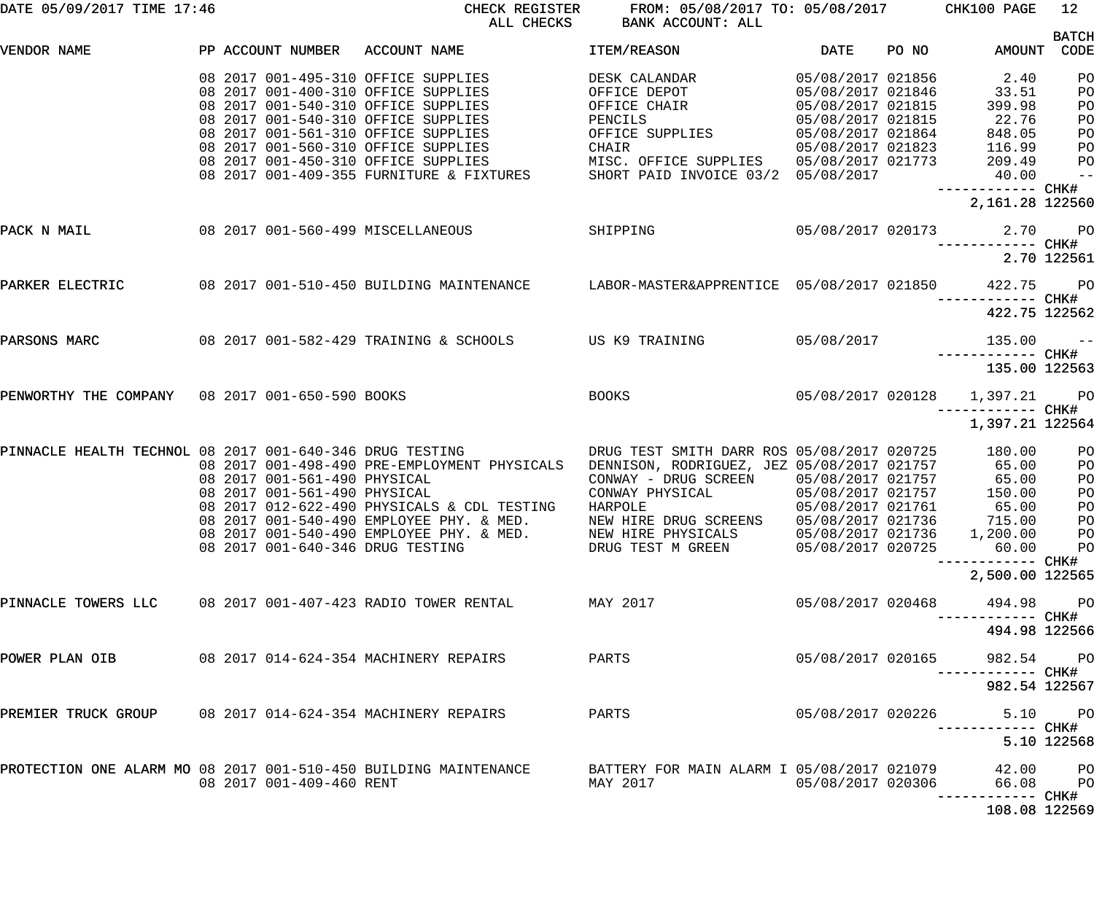| DATE 05/09/2017 TIME 17:46                                       |  |                              | CHECK REGISTER<br>ALL CHECKS                               | FROM: 05/08/2017 TO: 05/08/2017 CHK100 PAGE<br>BANK ACCOUNT: ALL |                   |           |                                                  | 12            |
|------------------------------------------------------------------|--|------------------------------|------------------------------------------------------------|------------------------------------------------------------------|-------------------|-----------|--------------------------------------------------|---------------|
| VENDOR NAME                                                      |  | PP ACCOUNT NUMBER            | ACCOUNT NAME                                               | ITEM/REASON                                                      | DATE              | PO NO DIA | AMOUNT CODE                                      | <b>BATCH</b>  |
|                                                                  |  |                              |                                                            |                                                                  |                   |           |                                                  |               |
|                                                                  |  |                              | 08 2017 001-495-310 OFFICE SUPPLIES                        | DESK CALANDAR                                                    | 05/08/2017 021856 |           | 2.40                                             | PO            |
|                                                                  |  |                              | 08 2017 001-400-310 OFFICE SUPPLIES                        | OFFICE DEPOT                                                     | 05/08/2017 021846 |           | 33.51                                            | PO            |
|                                                                  |  |                              | 08 2017 001-540-310 OFFICE SUPPLIES                        | OFFICE CHAIR                                                     | 05/08/2017 021815 |           | 399.98                                           | PO            |
|                                                                  |  |                              | 08 2017 001-540-310 OFFICE SUPPLIES                        | PENCILS                                                          | 05/08/2017 021815 |           | 22.76                                            | PO            |
|                                                                  |  |                              | 08 2017 001-561-310 OFFICE SUPPLIES                        | OFFICE SUPPLIES                                                  | 05/08/2017 021864 |           | 848.05                                           | PO            |
|                                                                  |  |                              | 08 2017 001-560-310 OFFICE SUPPLIES                        | CHAIR                                                            | 05/08/2017 021823 |           | 116.99                                           | PO            |
|                                                                  |  |                              | 08 2017 001-450-310 OFFICE SUPPLIES                        | MISC. OFFICE SUPPLIES 05/08/2017 021773                          |                   |           | 209.49                                           | PО            |
|                                                                  |  |                              | 08 2017 001-409-355 FURNITURE & FIXTURES                   | SHORT PAID INVOICE 03/2 05/08/2017                               |                   |           | 40.00                                            | $\frac{1}{2}$ |
|                                                                  |  |                              |                                                            |                                                                  |                   |           | 2,161.28 122560                                  |               |
| PACK N MAIL                                                      |  |                              | 08 2017 001-560-499 MISCELLANEOUS<br>SHIPPING              |                                                                  |                   |           | 05/08/2017 020173 2.70 PO                        |               |
|                                                                  |  |                              |                                                            |                                                                  |                   |           |                                                  | 2.70 122561   |
|                                                                  |  |                              |                                                            |                                                                  |                   |           |                                                  |               |
| PARKER ELECTRIC                                                  |  |                              | 08 2017 001-510-450 BUILDING MAINTENANCE                   | LABOR-MASTER&APPRENTICE 05/08/2017 021850                        |                   |           | 422.75 PO<br>------------ CHK#                   |               |
|                                                                  |  |                              |                                                            |                                                                  |                   |           | 422.75 122562                                    |               |
| PARSONS MARC                                                     |  |                              | 08  2017  001-582-429  TRAINING & SCHOOLS  US K9  TRAINING |                                                                  | 05/08/2017        |           | 135.00<br>------------ CHK#                      | $\sim$ $ -$   |
|                                                                  |  |                              |                                                            |                                                                  |                   |           | 135.00 122563                                    |               |
| PENWORTHY THE COMPANY 08 2017 001-650-590 BOOKS                  |  |                              |                                                            | BOOKS                                                            |                   |           | 05/08/2017 020128 1,397.21 PO<br>—————————— CHK# |               |
|                                                                  |  |                              |                                                            |                                                                  |                   |           | 1,397.21 122564                                  |               |
| PINNACLE HEALTH TECHNOL 08 2017 001-640-346 DRUG TESTING         |  |                              |                                                            | DRUG TEST SMITH DARR ROS 05/08/2017 020725                       |                   |           | 180.00                                           | PO            |
|                                                                  |  |                              | 08 2017 001-498-490 PRE-EMPLOYMENT PHYSICALS               | DENNISON, RODRIGUEZ, JEZ 05/08/2017 021757                       |                   |           | 65.00                                            | PO            |
|                                                                  |  | 08 2017 001-561-490 PHYSICAL |                                                            | CONWAY - DRUG SCREEN 05/08/2017 021757                           |                   |           | 65.00                                            | PO            |
|                                                                  |  | 08 2017 001-561-490 PHYSICAL |                                                            | CONWAY PHYSICAL                                                  | 05/08/2017 021757 |           | 150.00                                           | PO            |
|                                                                  |  |                              | 08 2017 012-622-490 PHYSICALS & CDL TESTING                | HARPOLE                                                          | 05/08/2017 021761 |           | 65.00                                            | PO            |
|                                                                  |  |                              | 08 2017 001-540-490 EMPLOYEE PHY. & MED.                   |                                                                  |                   |           |                                                  |               |
|                                                                  |  |                              | 08 2017 001-540-490 EMPLOYEE PHY. & MED.                   | NEW HIRE PHYSICALS                                               |                   |           | 05/08/2017 021736 1,200.00 PO                    |               |
|                                                                  |  |                              | 08 2017 001-640-346 DRUG TESTING                           | DRUG TEST M GREEN                                                | 05/08/2017 020725 |           | 60.00 PO                                         |               |
|                                                                  |  |                              |                                                            |                                                                  |                   |           | 2,500.00 122565                                  |               |
| PINNACLE TOWERS LLC 08 2017 001-407-423 RADIO TOWER RENTAL       |  |                              |                                                            | MAY 2017                                                         | 05/08/2017 020468 |           | 494.98 PO                                        |               |
|                                                                  |  |                              |                                                            |                                                                  |                   |           | 494.98 122566                                    |               |
| POWER PLAN OIB                                                   |  |                              | 08  2017  014-624-354  MACHINERY REPAIRS                   | PARTS                                                            | 05/08/2017 020165 |           | 982.54 PO                                        |               |
|                                                                  |  |                              |                                                            |                                                                  |                   |           | 982.54 122567                                    |               |
| PREMIER TRUCK GROUP 08 2017 014-624-354 MACHINERY REPAIRS        |  |                              |                                                            | PARTS                                                            | 05/08/2017 020226 |           |                                                  | 5.10 PO       |
|                                                                  |  |                              |                                                            |                                                                  |                   |           |                                                  | 5.10 122568   |
| PROTECTION ONE ALARM MO 08 2017 001-510-450 BUILDING MAINTENANCE |  |                              |                                                            | BATTERY FOR MAIN ALARM I 05/08/2017 021079                       |                   |           | 42.00 PO                                         |               |
|                                                                  |  | 08 2017 001-409-460 RENT     |                                                            | MAY 2017                                                         | 05/08/2017 020306 |           | 66.08<br>--------- CHK#                          | <b>PO</b>     |
|                                                                  |  |                              |                                                            |                                                                  |                   |           | 108.08 122569                                    |               |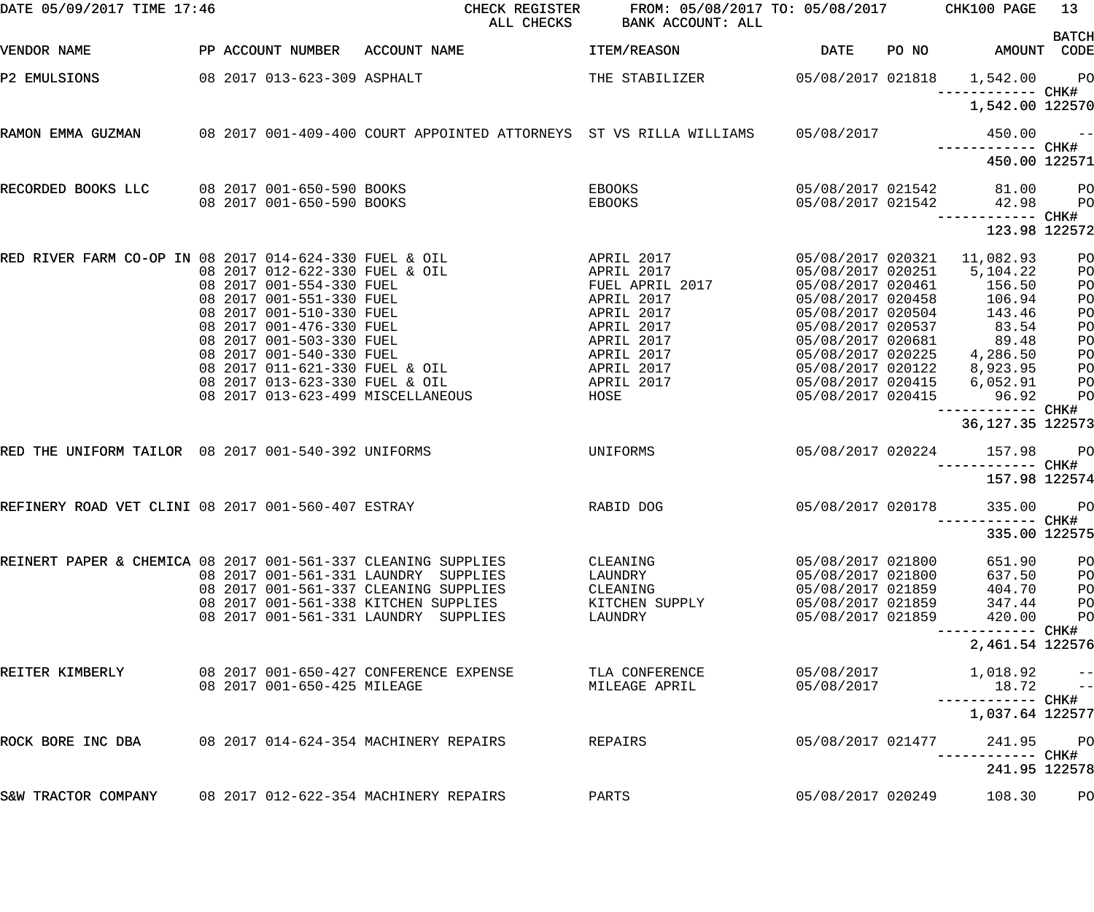| DATE 05/09/2017 TIME 17:46                                    |  |                                                            | CHECK REGISTER<br>ALL CHECKS                                       | FROM: 05/08/2017 TO: 05/08/2017 CHK100 PAGE<br>BANK ACCOUNT: ALL |                                        |       |                                      | 13                   |
|---------------------------------------------------------------|--|------------------------------------------------------------|--------------------------------------------------------------------|------------------------------------------------------------------|----------------------------------------|-------|--------------------------------------|----------------------|
| VENDOR NAME                                                   |  | PP ACCOUNT NUMBER                                          | ACCOUNT NAME                                                       | ITEM/REASON                                                      | <b>DATE</b>                            | PO NO | AMOUNT CODE                          | <b>BATCH</b>         |
| P2 EMULSIONS                                                  |  | 08 2017 013-623-309 ASPHALT                                |                                                                    | THE STABILIZER                                                   | 05/08/2017 021818                      |       | 1,542.00<br>—————————— CHK#          | <b>PO</b>            |
|                                                               |  |                                                            |                                                                    |                                                                  |                                        |       | 1,542.00 122570                      |                      |
| RAMON EMMA GUZMAN                                             |  |                                                            | 08 2017 001-409-400 COURT APPOINTED ATTORNEYS ST VS RILLA WILLIAMS |                                                                  | 05/08/2017                             |       | 450.00                               | $\sim$ $ -$          |
|                                                               |  |                                                            |                                                                    |                                                                  |                                        |       | 450.00 122571                        |                      |
| RECORDED BOOKS LLC                                            |  | 08 2017 001-650-590 BOOKS<br>08 2017 001-650-590 BOOKS     |                                                                    | EBOOKS<br><b>EBOOKS</b>                                          | 05/08/2017 021542<br>05/08/2017 021542 |       | 81.00<br>42.98                       | PО<br>P <sub>O</sub> |
|                                                               |  |                                                            |                                                                    |                                                                  |                                        |       |                                      |                      |
|                                                               |  |                                                            |                                                                    |                                                                  |                                        |       | 123.98 122572                        |                      |
| RED RIVER FARM CO-OP IN 08 2017 014-624-330 FUEL & OIL        |  |                                                            |                                                                    | APRIL 2017                                                       | 05/08/2017 020321                      |       | 11,082.93                            | PO                   |
|                                                               |  | 08 2017 012-622-330 FUEL & OIL<br>08 2017 001-554-330 FUEL |                                                                    | APRIL 2017<br>FUEL APRIL 2017                                    | 05/08/2017 020251<br>05/08/2017 020461 |       | 5,104.22<br>156.50                   | PO<br>PO             |
|                                                               |  | 08 2017 001-551-330 FUEL                                   |                                                                    | APRIL 2017                                                       | 05/08/2017 020458                      |       | 106.94                               | PO                   |
|                                                               |  | 08 2017 001-510-330 FUEL                                   |                                                                    | APRIL 2017                                                       | 05/08/2017 020504                      |       | 143.46                               | PO                   |
|                                                               |  | 08 2017 001-476-330 FUEL                                   |                                                                    | APRIL 2017                                                       | 05/08/2017 020537                      |       | 83.54                                | PO                   |
|                                                               |  | 08 2017 001-503-330 FUEL                                   |                                                                    | APRIL 2017                                                       | 05/08/2017 020681                      |       | 89.48                                | PO                   |
|                                                               |  | 08 2017 001-540-330 FUEL                                   |                                                                    | APRIL 2017                                                       | 05/08/2017 020225                      |       | 4,286.50                             | PO                   |
|                                                               |  | 08 2017 011-621-330 FUEL & OIL                             |                                                                    | APRIL 2017                                                       | 05/08/2017 020122                      |       | 8,923.95                             | PO                   |
|                                                               |  | 08 2017 013-623-330 FUEL & OIL                             |                                                                    | APRIL 2017                                                       | 05/08/2017 020415                      |       | 6,052.91                             | PO                   |
|                                                               |  |                                                            | 08 2017 013-623-499 MISCELLANEOUS                                  | HOSE                                                             | 05/08/2017 020415                      |       | 96.92                                | PO                   |
|                                                               |  |                                                            |                                                                    |                                                                  |                                        |       | 36, 127. 35 122573                   |                      |
| RED THE UNIFORM TAILOR 08 2017 001-540-392 UNIFORMS           |  |                                                            |                                                                    | UNIFORMS                                                         | 05/08/2017 020224                      |       | 157.98                               | <b>PO</b>            |
|                                                               |  |                                                            |                                                                    |                                                                  |                                        |       | 157.98 122574                        |                      |
| REFINERY ROAD VET CLINI 08 2017 001-560-407 ESTRAY            |  |                                                            |                                                                    | RABID DOG                                                        | 05/08/2017 020178                      |       | 335.00                               | P <sub>O</sub>       |
|                                                               |  |                                                            |                                                                    |                                                                  |                                        |       | 335.00 122575                        | ---- CHK#            |
| REINERT PAPER & CHEMICA 08 2017 001-561-337 CLEANING SUPPLIES |  |                                                            |                                                                    | CLEANING                                                         | 05/08/2017 021800                      |       | 651.90                               | PO                   |
|                                                               |  |                                                            | 08 2017 001-561-331 LAUNDRY SUPPLIES                               | LAUNDRY                                                          | 05/08/2017 021800                      |       | 637.50                               | PO                   |
|                                                               |  |                                                            | 08 2017 001-561-337 CLEANING SUPPLIES                              | CLEANING                                                         | 05/08/2017 021859                      |       | 404.70                               | PO                   |
|                                                               |  |                                                            | 08 2017 001-561-338 KITCHEN SUPPLIES                               | KITCHEN SUPPLY                                                   | 05/08/2017 021859                      |       | 347.44                               | PО                   |
|                                                               |  |                                                            | 08 2017 001-561-331 LAUNDRY SUPPLIES                               | LAUNDRY                                                          | 05/08/2017 021859                      |       | 420.00                               | PO                   |
|                                                               |  |                                                            |                                                                    |                                                                  |                                        |       | 2,461.54 122576                      |                      |
| REITER KIMBERLY                                               |  |                                                            | 08 2017 001-650-427 CONFERENCE EXPENSE                             | TLA CONFERENCE                                                   | 05/08/2017                             |       | 1,018.92                             | $ -$                 |
|                                                               |  | 08 2017 001-650-425 MILEAGE                                |                                                                    | MILEAGE APRIL                                                    | 05/08/2017                             |       | 18.72                                | $\qquad \qquad -$    |
|                                                               |  |                                                            |                                                                    |                                                                  |                                        |       | ------------ CHK#<br>1,037.64 122577 |                      |
| ROCK BORE INC DBA                                             |  |                                                            | 08  2017  014-624-354  MACHINERY REPAIRS                           | REPAIRS                                                          | 05/08/2017 021477                      |       | 241.95                               | PО                   |
|                                                               |  |                                                            |                                                                    |                                                                  |                                        |       | 241.95 122578                        |                      |
| S&W TRACTOR COMPANY                                           |  |                                                            | 08 2017 012-622-354 MACHINERY REPAIRS                              | PARTS                                                            | 05/08/2017 020249                      |       | 108.30                               | PO                   |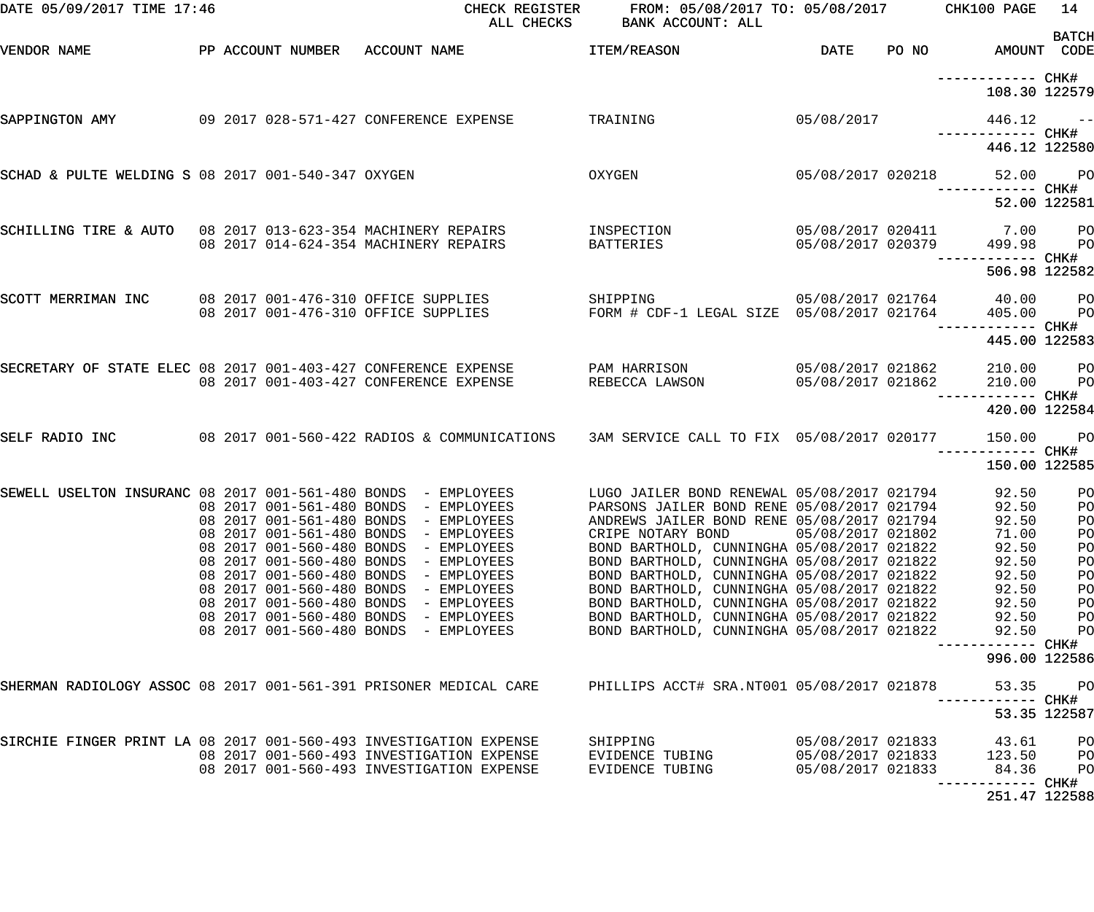| DATE 05/09/2017 TIME 17:46                                        |  |                                                                                                                                               | CHECK REGISTER<br>ALL CHECKS                                            | FROM: 05/08/2017 TO: 05/08/2017 CHK100 PAGE<br>BANK ACCOUNT: ALL                                                                                                                                                                   |                                        |                                                        | 14<br><b>BATCH</b>                           |
|-------------------------------------------------------------------|--|-----------------------------------------------------------------------------------------------------------------------------------------------|-------------------------------------------------------------------------|------------------------------------------------------------------------------------------------------------------------------------------------------------------------------------------------------------------------------------|----------------------------------------|--------------------------------------------------------|----------------------------------------------|
| VENDOR NAME                                                       |  | PP ACCOUNT NUMBER ACCOUNT NAME                                                                                                                |                                                                         | ITEM/REASON                                                                                                                                                                                                                        | DATE                                   | PO NO AMOUNT CODE                                      |                                              |
|                                                                   |  |                                                                                                                                               |                                                                         |                                                                                                                                                                                                                                    |                                        | ------------ CHK#<br>108.30 122579                     |                                              |
| SAPPINGTON AMY                                                    |  | 09 2017 028-571-427 CONFERENCE EXPENSE                                                                                                        |                                                                         | TRAINING                                                                                                                                                                                                                           | 05/08/2017                             | $446.12 - -$<br>------------ CHK#                      |                                              |
|                                                                   |  |                                                                                                                                               |                                                                         |                                                                                                                                                                                                                                    |                                        | 446.12 122580                                          |                                              |
| SCHAD & PULTE WELDING S 08 2017 001-540-347 OXYGEN                |  |                                                                                                                                               |                                                                         | OXYGEN                                                                                                                                                                                                                             |                                        | 05/08/2017 020218 52.00                                | PO <sub>1</sub>                              |
|                                                                   |  |                                                                                                                                               |                                                                         |                                                                                                                                                                                                                                    |                                        |                                                        | 52.00 122581                                 |
| SCHILLING TIRE & AUTO 08 2017 013-623-354 MACHINERY REPAIRS       |  | 08 2017 014-624-354 MACHINERY REPAIRS                                                                                                         |                                                                         | INSPECTION<br>BATTERIES                                                                                                                                                                                                            | 05/08/2017 020379                      | 05/08/2017 020411 7.00<br>499.98<br>------------ CHK#  | <b>PO</b><br><b>PO</b>                       |
|                                                                   |  |                                                                                                                                               |                                                                         |                                                                                                                                                                                                                                    |                                        | 506.98 122582                                          |                                              |
| SCOTT MERRIMAN INC                                                |  | 08 2017 001-476-310 OFFICE SUPPLIES                                                                                                           | 08 2017 001-476-310 OFFICE SUPPLIES                                     | SHIPPING<br>FORM # CDF-1 LEGAL SIZE 05/08/2017 021764                                                                                                                                                                              |                                        | 05/08/2017 021764 40.00<br>405.00<br>------------ CHK# | $P$ O<br>P <sub>O</sub>                      |
|                                                                   |  |                                                                                                                                               |                                                                         |                                                                                                                                                                                                                                    |                                        | 445.00 122583                                          |                                              |
| SECRETARY OF STATE ELEC 08 2017 001-403-427 CONFERENCE EXPENSE    |  | 08 2017 001-403-427 CONFERENCE EXPENSE                                                                                                        |                                                                         | PAM HARRISON<br>REBECCA LAWSON                                                                                                                                                                                                     | 05/08/2017 021862<br>05/08/2017 021862 | 210.00<br>210.00                                       | <b>PO</b><br>P <sub>O</sub>                  |
|                                                                   |  |                                                                                                                                               |                                                                         |                                                                                                                                                                                                                                    |                                        | 420.00 122584                                          |                                              |
| SELF RADIO INC                                                    |  |                                                                                                                                               |                                                                         | 08 2017 001-560-422 RADIOS & COMMUNICATIONS 3AM SERVICE CALL TO FIX 05/08/2017 020177                                                                                                                                              |                                        | 150.00                                                 | $P$ O                                        |
|                                                                   |  |                                                                                                                                               |                                                                         |                                                                                                                                                                                                                                    |                                        | 150.00 122585                                          |                                              |
| SEWELL USELTON INSURANC 08 2017 001-561-480 BONDS - EMPLOYEES     |  | 08 2017 001-561-480 BONDS<br>08 2017 001-561-480 BONDS<br>08 2017 001-561-480 BONDS                                                           | - EMPLOYEES<br>- EMPLOYEES<br>- EMPLOYEES                               | LUGO JAILER BOND RENEWAL 05/08/2017 021794<br>PARSONS JAILER BOND RENE 05/08/2017 021794<br>ANDREWS JAILER BOND RENE 05/08/2017 021794<br>CRIPE NOTARY BOND                                                                        | 05/08/2017 021802                      | 92.50<br>92.50<br>92.50<br>71.00                       | P <sub>O</sub><br>PO<br>P <sub>O</sub><br>PO |
|                                                                   |  | 08 2017 001-560-480 BONDS<br>08 2017 001-560-480 BONDS<br>08 2017 001-560-480 BONDS<br>08 2017 001-560-480 BONDS<br>08 2017 001-560-480 BONDS | - EMPLOYEES<br>- EMPLOYEES<br>- EMPLOYEES<br>- EMPLOYEES<br>- EMPLOYEES | BOND BARTHOLD, CUNNINGHA 05/08/2017 021822<br>BOND BARTHOLD, CUNNINGHA 05/08/2017 021822<br>BOND BARTHOLD, CUNNINGHA 05/08/2017 021822<br>BOND BARTHOLD, CUNNINGHA 05/08/2017 021822<br>BOND BARTHOLD, CUNNINGHA 05/08/2017 021822 |                                        | 92.50<br>92.50<br>92.50<br>92.50<br>92.50              | PO<br>PO<br>PO<br>PO<br>PO                   |
|                                                                   |  | 08 2017 001-560-480 BONDS<br>08 2017 001-560-480 BONDS                                                                                        | - EMPLOYEES<br>- EMPLOYEES                                              | BOND BARTHOLD, CUNNINGHA 05/08/2017 021822<br>BOND BARTHOLD, CUNNINGHA 05/08/2017 021822                                                                                                                                           |                                        | 92.50<br>92.50<br>------------                         | PO<br>PO<br>CHK#                             |
| SHERMAN RADIOLOGY ASSOC 08 2017 001-561-391 PRISONER MEDICAL CARE |  |                                                                                                                                               |                                                                         | PHILLIPS ACCT# SRA.NT001 05/08/2017 021878                                                                                                                                                                                         |                                        | 996.00 122586<br>53.35                                 | PO                                           |
|                                                                   |  |                                                                                                                                               |                                                                         |                                                                                                                                                                                                                                    |                                        | ------------                                           | CHK#<br>53.35 122587                         |
| SIRCHIE FINGER PRINT LA 08 2017 001-560-493 INVESTIGATION EXPENSE |  |                                                                                                                                               | 08 2017 001-560-493 INVESTIGATION EXPENSE                               | SHIPPING<br>EVIDENCE TUBING                                                                                                                                                                                                        | 05/08/2017 021833<br>05/08/2017 021833 | 43.61<br>123.50                                        | P <sub>O</sub><br>PO                         |
|                                                                   |  |                                                                                                                                               | 08 2017 001-560-493 INVESTIGATION EXPENSE                               | EVIDENCE TUBING                                                                                                                                                                                                                    | 05/08/2017 021833                      | 84.36<br>------------<br>251.47 122588                 | PO<br>CHK#                                   |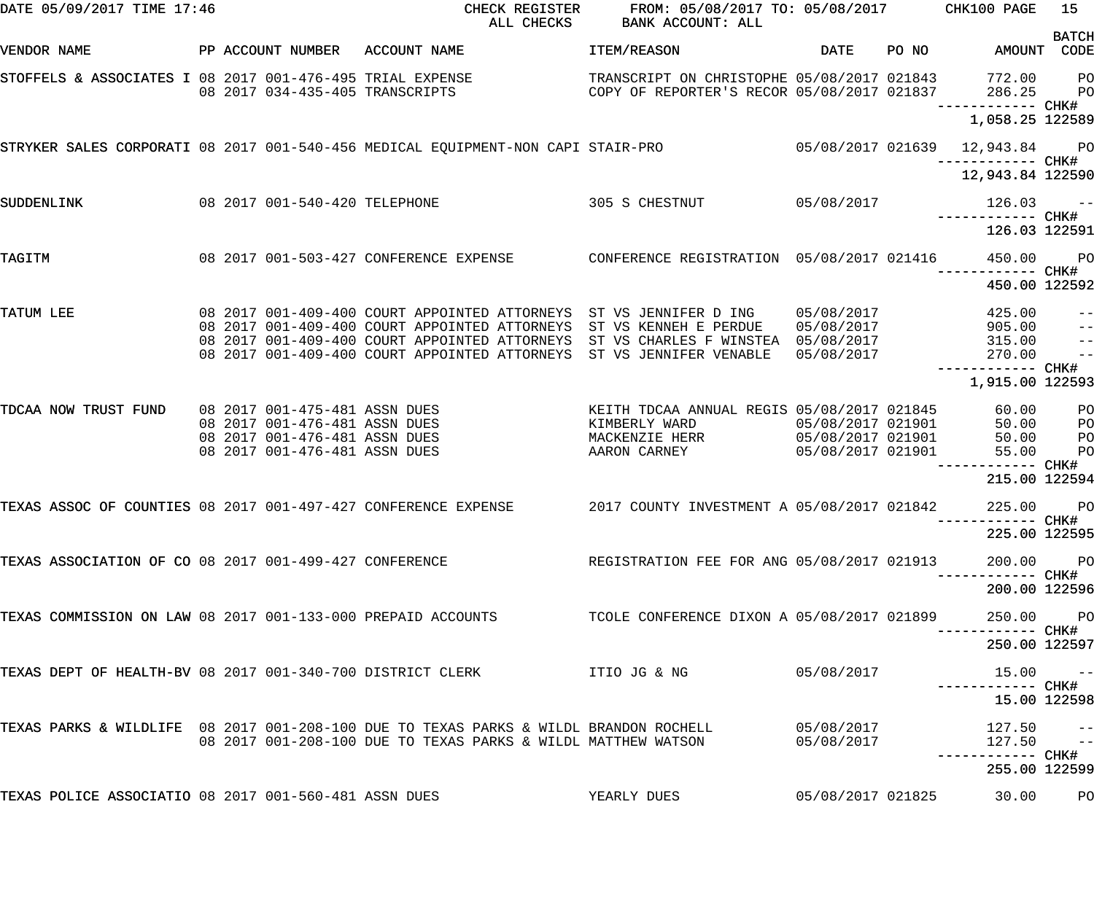| DATE 05/09/2017 TIME 17:46                                     |  |                                                                | CHECK REGISTER<br>ALL CHECKS                                                                                          | FROM: 05/08/2017 TO: 05/08/2017 CHK100 PAGE<br>BANK ACCOUNT: ALL |                   |                                        | 15<br><b>BATCH</b>        |
|----------------------------------------------------------------|--|----------------------------------------------------------------|-----------------------------------------------------------------------------------------------------------------------|------------------------------------------------------------------|-------------------|----------------------------------------|---------------------------|
| VENDOR NAME                                                    |  |                                                                | PP ACCOUNT NUMBER ACCOUNT NAME                                                                                        | ITEM/REASON                                                      | DATE              | PO NO AMOUNT                           | CODE                      |
| STOFFELS & ASSOCIATES I 08 2017 001-476-495 TRIAL EXPENSE      |  |                                                                | 08 2017 034-435-405 TRANSCRIPTS COPY OF REPORTER'S RECOR 05/08/2017 021837                                            | TRANSCRIPT ON CHRISTOPHE 05/08/2017 021843                       |                   | 772.00<br>286.25<br>------------ CHK#  | PO<br>P <sub>O</sub>      |
|                                                                |  |                                                                |                                                                                                                       |                                                                  |                   | 1,058.25 122589                        |                           |
|                                                                |  |                                                                | STRYKER SALES CORPORATI 08 2017 001-540-456 MEDICAL EQUIPMENT-NON CAPI STAIR-PRO 65/08/2017 021639 12,943.84 PO       |                                                                  |                   | ------------ CHK#                      |                           |
|                                                                |  |                                                                |                                                                                                                       |                                                                  |                   | 12,943.84 122590                       |                           |
| SUDDENLINK                                                     |  |                                                                | 08 2017 001-540-420 TELEPHONE 305 S CHESTNUT                                                                          |                                                                  | 05/08/2017        | $126.03 - -$<br>------------ CHK#      |                           |
|                                                                |  |                                                                |                                                                                                                       |                                                                  |                   | 126.03 122591                          |                           |
| TAGITM                                                         |  |                                                                |                                                                                                                       |                                                                  |                   | 450.00                                 | $P$ O<br>CHK#             |
|                                                                |  |                                                                |                                                                                                                       |                                                                  |                   | 450.00 122592                          |                           |
| TATUM LEE                                                      |  |                                                                | 08  2017  001-409-400  COURT APPOINTED ATTORNEYS  ST VS JENNIFER D ING                                                |                                                                  |                   | 05/08/2017 425.00<br>05/08/2017 905.00 |                           |
|                                                                |  |                                                                | 08 2017 001-409-400 COURT APPOINTED ATTORNEYS                                                                         | ST VS KENNEH E PERDUE                                            |                   |                                        | $\qquad \qquad -$         |
|                                                                |  |                                                                | 08 2017 001-409-400 COURT APPOINTED ATTORNEYS<br>08 2017 001-409-400 COURT APPOINTED ATTORNEYS ST VS JENNIFER VENABLE | ST VS CHARLES F WINSTEA 05/08/2017                               | 05/08/2017        | 315.00<br>270.00                       | $\qquad \qquad -$<br>$ -$ |
|                                                                |  |                                                                |                                                                                                                       |                                                                  |                   | ------------ CHK#                      |                           |
|                                                                |  |                                                                |                                                                                                                       |                                                                  |                   | 1,915.00 122593                        |                           |
| TDCAA NOW TRUST FUND                                           |  | 08 2017 001-475-481 ASSN DUES                                  |                                                                                                                       | KEITH TDCAA ANNUAL REGIS 05/08/2017 021845                       |                   | 60.00                                  | P <sub>O</sub>            |
|                                                                |  | 08 2017 001-476-481 ASSN DUES                                  |                                                                                                                       | KIMBERLY WARD                                                    | 05/08/2017 021901 | 50.00                                  | PO                        |
|                                                                |  | 08 2017 001-476-481 ASSN DUES<br>08 2017 001-476-481 ASSN DUES |                                                                                                                       | MACKENZIE HERR 05/08/2017 021901<br>AARON CARNEY                 | 05/08/2017 021901 | 50.00<br>55.00                         | PO<br>PO                  |
|                                                                |  |                                                                |                                                                                                                       |                                                                  |                   |                                        | CHK#                      |
|                                                                |  |                                                                |                                                                                                                       |                                                                  |                   | 215.00 122594                          |                           |
| TEXAS ASSOC OF COUNTIES 08 2017 001-497-427 CONFERENCE EXPENSE |  |                                                                |                                                                                                                       | 2017 COUNTY INVESTMENT A 05/08/2017 021842                       |                   | 225.00                                 | P <sub>O</sub>            |
|                                                                |  |                                                                |                                                                                                                       |                                                                  |                   | 225.00 122595                          |                           |
| TEXAS ASSOCIATION OF CO 08 2017 001-499-427 CONFERENCE         |  |                                                                |                                                                                                                       | REGISTRATION FEE FOR ANG 05/08/2017 021913                       |                   | 200.00 PO<br>--------- CHK#            |                           |
|                                                                |  |                                                                |                                                                                                                       |                                                                  |                   | 200.00 122596                          |                           |
| TEXAS COMMISSION ON LAW 08 2017 001-133-000 PREPAID ACCOUNTS   |  |                                                                |                                                                                                                       | TCOLE CONFERENCE DIXON A 05/08/2017 021899                       |                   | 250.00 PO                              | ----- CHK#                |
|                                                                |  |                                                                |                                                                                                                       |                                                                  |                   | 250.00 122597                          |                           |
| TEXAS DEPT OF HEALTH-BV 08 2017 001-340-700 DISTRICT CLERK     |  |                                                                |                                                                                                                       | ITIO JG & NG                                                     | 05/08/2017        | $15.00 - -$                            |                           |
|                                                                |  |                                                                |                                                                                                                       |                                                                  |                   | 15.00 122598                           |                           |
|                                                                |  |                                                                | TEXAS PARKS & WILDLIFE 08 2017 001-208-100 DUE TO TEXAS PARKS & WILDL BRANDON ROCHELL                                 |                                                                  | 05/08/2017        | $127.50 - -$                           |                           |
|                                                                |  |                                                                | 08 2017 001-208-100 DUE TO TEXAS PARKS & WILDL MATTHEW WATSON                                                         |                                                                  | 05/08/2017        | $127.50 - -$                           |                           |
|                                                                |  |                                                                |                                                                                                                       |                                                                  |                   | 255.00 122599                          |                           |
| TEXAS POLICE ASSOCIATIO 08 2017 001-560-481 ASSN DUES          |  |                                                                |                                                                                                                       | YEARLY DUES                                                      | 05/08/2017 021825 | 30.00                                  | PО                        |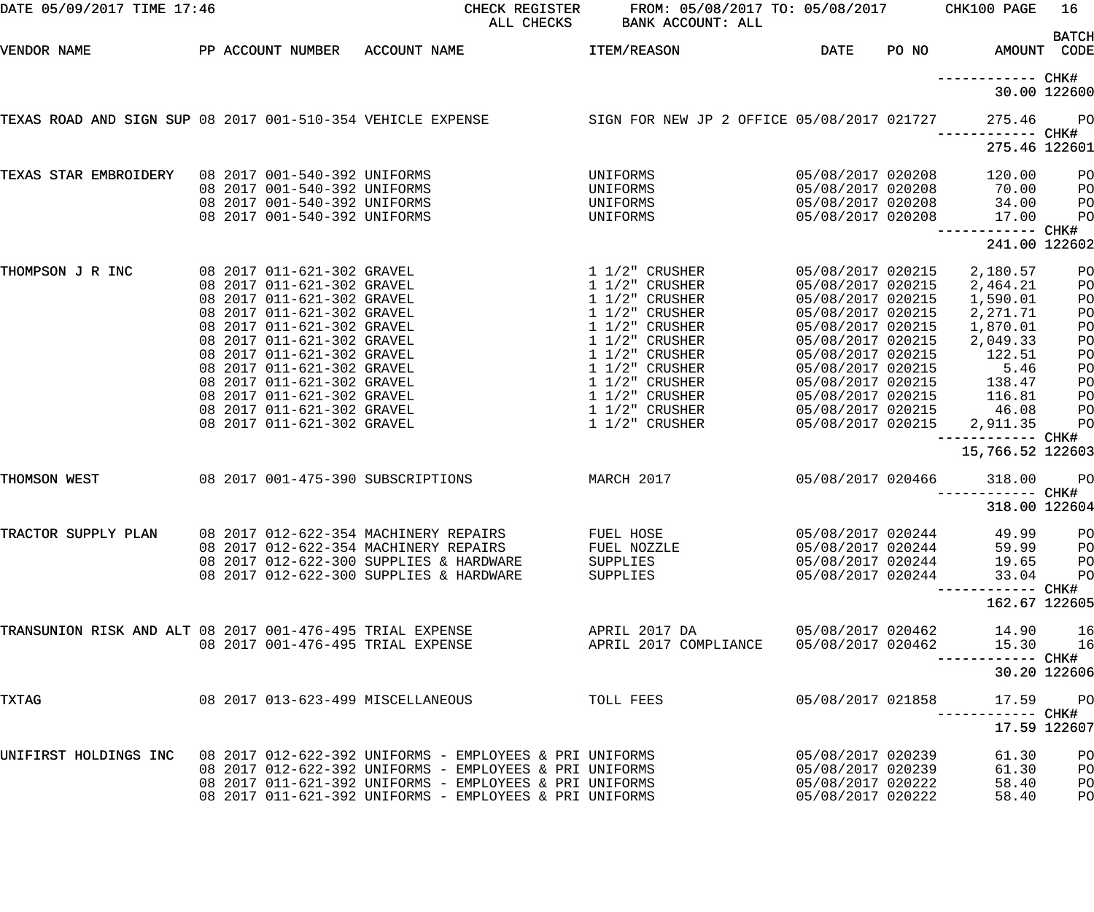| DATE 05/09/2017 TIME 17:46                                                    |  |                                                              |                                          | CHECK REGISTER<br>ALL CHECKS                            | FROM: 05/08/2017 TO: 05/08/2017<br>BANK ACCOUNT: ALL |                                        |       | CHK100 PAGE                  | 16                   |
|-------------------------------------------------------------------------------|--|--------------------------------------------------------------|------------------------------------------|---------------------------------------------------------|------------------------------------------------------|----------------------------------------|-------|------------------------------|----------------------|
| VENDOR NAME                                                                   |  | PP ACCOUNT NUMBER                                            | ACCOUNT NAME                             |                                                         | ITEM/REASON                                          | DATE                                   | PO NO | AMOUNT CODE                  | <b>BATCH</b>         |
|                                                                               |  |                                                              |                                          |                                                         |                                                      |                                        |       |                              | 30.00 122600         |
| TEXAS ROAD AND SIGN SUP 08 2017 001-510-354 VEHICLE EXPENSE                   |  |                                                              |                                          |                                                         | SIGN FOR NEW JP 2 OFFICE 05/08/2017 021727           |                                        |       | 275.46                       | P <sub>O</sub>       |
|                                                                               |  |                                                              |                                          |                                                         |                                                      |                                        |       | 275.46 122601                |                      |
| TEXAS STAR EMBROIDERY                                                         |  | 08 2017 001-540-392 UNIFORMS<br>08 2017 001-540-392 UNIFORMS |                                          |                                                         | UNIFORMS<br>UNIFORMS                                 | 05/08/2017 020208<br>05/08/2017 020208 |       | 120.00<br>70.00              | P <sub>O</sub><br>PO |
|                                                                               |  | 08 2017 001-540-392 UNIFORMS<br>08 2017 001-540-392 UNIFORMS |                                          |                                                         | UNIFORMS<br>UNIFORMS                                 | 05/08/2017 020208<br>05/08/2017 020208 |       | 34.00<br>17.00               | PO<br>PO             |
|                                                                               |  |                                                              |                                          |                                                         |                                                      |                                        |       | 241.00 122602                |                      |
| THOMPSON J R INC                                                              |  | 08 2017 011-621-302 GRAVEL                                   |                                          |                                                         | $1\;1/2"$ CRUSHER                                    | 05/08/2017 020215                      |       | 2,180.57                     | P <sub>O</sub>       |
|                                                                               |  | 08 2017 011-621-302 GRAVEL                                   |                                          |                                                         | $1\;1/2"$ CRUSHER                                    | 05/08/2017 020215                      |       | 2,464.21                     | PO                   |
|                                                                               |  | 08 2017 011-621-302 GRAVEL                                   |                                          |                                                         | $1\ 1/2$ " CRUSHER                                   | 05/08/2017 020215                      |       | 1,590.01                     | PO                   |
|                                                                               |  | 08 2017 011-621-302 GRAVEL<br>08 2017 011-621-302 GRAVEL     |                                          |                                                         | $1\ 1/2$ " CRUSHER<br>$1\ 1/2$ " CRUSHER             | 05/08/2017 020215<br>05/08/2017 020215 |       | 2, 271.71<br>1,870.01        | PO<br>PO             |
|                                                                               |  | 08 2017 011-621-302 GRAVEL                                   |                                          |                                                         | $1\frac{1}{2}$ CRUSHER                               | 05/08/2017 020215                      |       | 2,049.33                     | PO                   |
|                                                                               |  | 08 2017 011-621-302 GRAVEL                                   |                                          |                                                         | $1\frac{1}{2}$ CRUSHER                               | 05/08/2017 020215                      |       | 122.51                       | PO                   |
|                                                                               |  | 08 2017 011-621-302 GRAVEL                                   |                                          |                                                         | $1\;1/2$ " CRUSHER                                   | 05/08/2017 020215                      |       | 5.46                         | PO                   |
|                                                                               |  | 08 2017 011-621-302 GRAVEL                                   |                                          |                                                         | $1\ 1/2$ " CRUSHER                                   | 05/08/2017 020215                      |       | 138.47                       | PO                   |
|                                                                               |  | 08 2017 011-621-302 GRAVEL                                   |                                          |                                                         | $1\ 1/2$ " CRUSHER                                   | 05/08/2017 020215                      |       | 116.81                       | PO                   |
|                                                                               |  | 08 2017 011-621-302 GRAVEL                                   |                                          |                                                         | $1\;1/2"$ CRUSHER                                    | 05/08/2017 020215                      |       | 46.08                        | PO                   |
|                                                                               |  | 08 2017 011-621-302 GRAVEL                                   |                                          |                                                         | $1\frac{1}{2}$ CRUSHER                               | 05/08/2017 020215                      |       | 2,911.35<br>----------- CHK# | PO                   |
|                                                                               |  |                                                              |                                          |                                                         |                                                      |                                        |       | 15,766.52 122603             |                      |
| THOMSON WEST                                                                  |  |                                                              | 08 2017 001-475-390 SUBSCRIPTIONS        |                                                         | MARCH 2017                                           | 05/08/2017 020466                      |       | 318.00                       | P <sub>O</sub>       |
|                                                                               |  |                                                              |                                          |                                                         |                                                      |                                        |       | 318.00 122604                |                      |
| TRACTOR SUPPLY PLAN                                                           |  |                                                              | 08 2017 012-622-354 MACHINERY REPAIRS    |                                                         | FUEL HOSE                                            | 05/08/2017 020244                      |       | 49.99                        | PO                   |
|                                                                               |  |                                                              | 08  2017  012-622-354  MACHINERY REPAIRS |                                                         | FUEL NOZZLE                                          | 05/08/2017 020244                      |       | 59.99                        | PO                   |
|                                                                               |  |                                                              | 08 2017 012-622-300 SUPPLIES & HARDWARE  |                                                         | SUPPLIES                                             | 05/08/2017 020244                      |       | 19.65                        | PO                   |
|                                                                               |  |                                                              | 08 2017 012-622-300 SUPPLIES & HARDWARE  |                                                         | SUPPLIES                                             | 05/08/2017 020244                      |       | 33.04                        | P <sub>O</sub>       |
|                                                                               |  |                                                              |                                          |                                                         |                                                      |                                        |       | 162.67 122605                |                      |
| TRANSUNION RISK AND ALT 08 2017 001-476-495 TRIAL EXPENSE                     |  |                                                              |                                          |                                                         | APRIL 2017 DA                                        | 05/08/2017 020462                      |       | 14.90                        | 16                   |
|                                                                               |  |                                                              | 08 2017 001-476-495 TRIAL EXPENSE        |                                                         | APRIL 2017 COMPLIANCE 05/08/2017 020462              |                                        |       | 15.30<br>------------ CHK#   | 16                   |
|                                                                               |  |                                                              |                                          |                                                         |                                                      |                                        |       |                              | 30.20 122606         |
| TXTAG                                                                         |  |                                                              | 08 2017 013-623-499 MISCELLANEOUS        |                                                         | TOLL FEES                                            | 05/08/2017 021858                      |       | 17.59                        | $P$ O                |
|                                                                               |  |                                                              |                                          |                                                         |                                                      |                                        |       | 17.59 122607                 |                      |
| UNIFIRST HOLDINGS INC 08 2017 012-622-392 UNIFORMS - EMPLOYEES & PRI UNIFORMS |  |                                                              |                                          |                                                         |                                                      | 05/08/2017 020239                      |       | 61.30                        | PO                   |
|                                                                               |  |                                                              |                                          | 08 2017 012-622-392 UNIFORMS - EMPLOYEES & PRI UNIFORMS |                                                      | 05/08/2017 020239                      |       | 61.30                        | PO                   |
|                                                                               |  |                                                              |                                          | 08 2017 011-621-392 UNIFORMS - EMPLOYEES & PRI UNIFORMS |                                                      | 05/08/2017 020222                      |       | 58.40                        | PO                   |
|                                                                               |  |                                                              |                                          | 08 2017 011-621-392 UNIFORMS - EMPLOYEES & PRI UNIFORMS |                                                      | 05/08/2017 020222                      |       | 58.40                        | PO                   |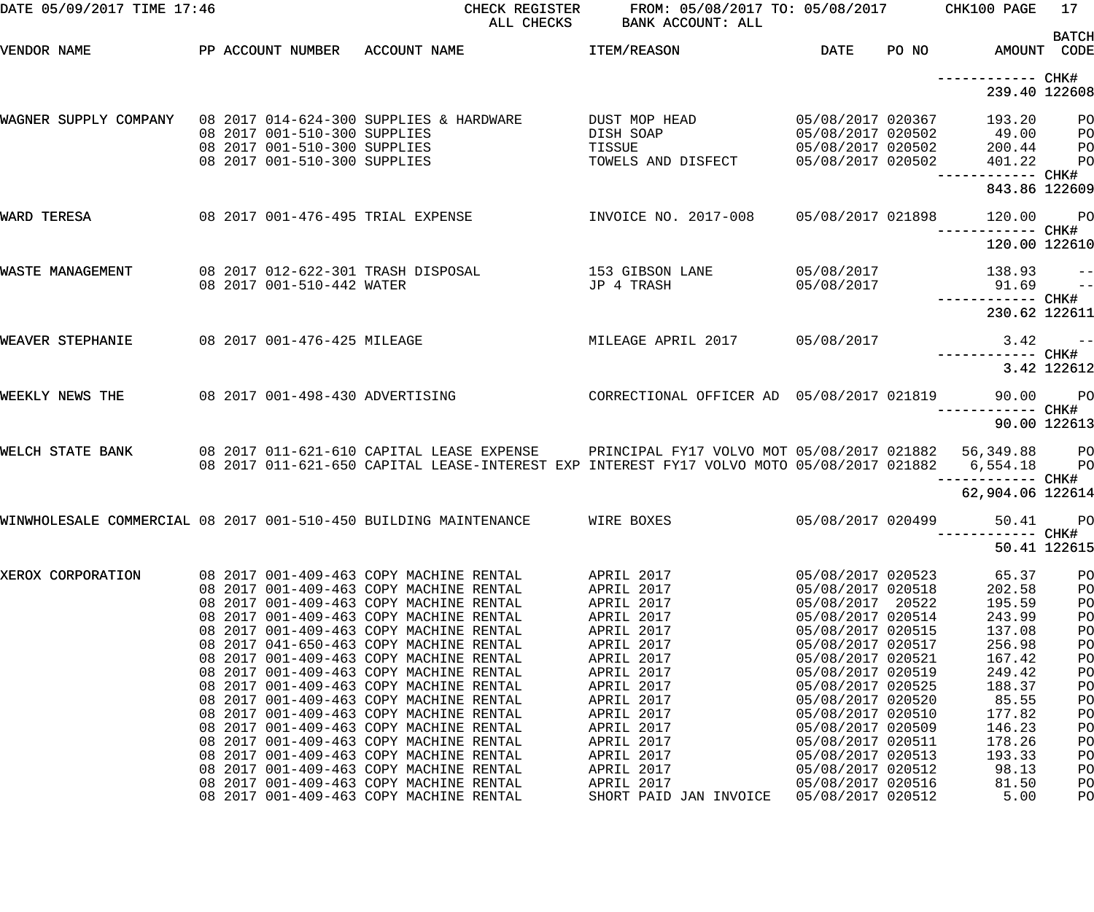| DATE 05/09/2017 TIME 17:46                                       |  |                              |                                                                                                                                                                                                            | CHECK REGISTER FROM: 05/08/2017 TO: 05/08/2017 CHK100 PAGE<br>ALL CHECKS BANK ACCOUNT: ALL |                                        |                                                   | 17<br><b>BATCH</b> |
|------------------------------------------------------------------|--|------------------------------|------------------------------------------------------------------------------------------------------------------------------------------------------------------------------------------------------------|--------------------------------------------------------------------------------------------|----------------------------------------|---------------------------------------------------|--------------------|
| VENDOR NAME                                                      |  |                              | PP ACCOUNT NUMBER ACCOUNT NAME                                                                                                                                                                             | ITEM/REASON                                                                                | DATE                                   | PO NO AMOUNT CODE                                 |                    |
|                                                                  |  |                              |                                                                                                                                                                                                            |                                                                                            |                                        | 239.40 122608                                     |                    |
| WAGNER SUPPLY COMPANY 08 2017 014-624-300 SUPPLIES & HARDWARE    |  | 08 2017 001-510-300 SUPPLIES | 08 2017 001-510-300 SUPPLIES                                                                                                                                                                               | DUST MOP HEAD<br>DISH SOAP<br>TISSUE                                                       | 05/08/2017 020367<br>05/08/2017 020502 | 193.20 PO<br>05/08/2017 020502 49.00<br>200.44 PO | P <sub>O</sub>     |
|                                                                  |  |                              | 08 2017 001-510-300 SUPPLIES                                                                                                                                                                               | TOWELS AND DISFECT                                                                         | 05/08/2017 020502                      | 401.22<br>843.86 122609                           | <b>PO</b>          |
| WARD TERESA                                                      |  |                              | 08 2017 001-476-495 TRIAL EXPENSE                                                                                                                                                                          | INVOICE NO. 2017-008  05/08/2017 021898                                                    |                                        | 120.00                                            | <b>PO</b>          |
|                                                                  |  |                              |                                                                                                                                                                                                            |                                                                                            |                                        | 120.00 122610                                     |                    |
| WASTE MANAGEMENT                                                 |  | 08 2017 001-510-442 WATER    | 08 2017 012-622-301 TRASH DISPOSAL                                                                                                                                                                         | 153 GIBSON LANE<br>JP 4 TRASH                                                              | 05/08/2017<br>05/08/2017               | $138.93 - -$<br>$91.69 -$<br>------------ CHK#    |                    |
|                                                                  |  |                              |                                                                                                                                                                                                            |                                                                                            |                                        | 230.62 122611                                     |                    |
| WEAVER STEPHANIE                                                 |  | 08 2017 001-476-425 MILEAGE  |                                                                                                                                                                                                            | MILEAGE APRIL 2017 05/08/2017                                                              |                                        | 3.42<br>------------ CHK#                         | $\sim$ $-$         |
|                                                                  |  |                              |                                                                                                                                                                                                            |                                                                                            |                                        |                                                   | 3.42 122612        |
| WEEKLY NEWS THE                                                  |  |                              | 08 2017 001-498-430 ADVERTISING                 CORRECTIONAL OFFICER AD  05/08/2017 021819       90.00                                                                                                     |                                                                                            |                                        | ------------ CHK#                                 | $P$ O              |
|                                                                  |  |                              |                                                                                                                                                                                                            |                                                                                            |                                        |                                                   | 90.00 122613       |
| WELCH STATE BANK                                                 |  |                              | 08 2017 011-621-610 CAPITAL LEASE EXPENSE       PRINCIPAL FY17 VOLVO MOT 05/08/2017 021882   56,349.88     PO<br>08 2017 011-621-650 CAPITAL LEASE-INTEREST EXP INTEREST FY17 VOLVO MOTO 05/08/2017 021882 |                                                                                            |                                        | 6,554.18 PO<br>------------ CHK#                  |                    |
|                                                                  |  |                              |                                                                                                                                                                                                            |                                                                                            |                                        | 62,904.06 122614                                  |                    |
| WINWHOLESALE COMMERCIAL 08 2017 001-510-450 BUILDING MAINTENANCE |  |                              |                                                                                                                                                                                                            | WIRE BOXES                                                                                 | 05/08/2017 020499                      | 50.41                                             | PO<br>CHK#         |
|                                                                  |  |                              |                                                                                                                                                                                                            |                                                                                            |                                        |                                                   | 50.41 122615       |
| XEROX CORPORATION                                                |  |                              | 08 2017 001-409-463 COPY MACHINE RENTAL<br>08 2017 001-409-463 COPY MACHINE RENTAL                                                                                                                         | APRIL 2017<br>APRIL 2017                                                                   | 05/08/2017 020523<br>05/08/2017 020518 | 65.37<br>202.58                                   | PO<br>PO           |
|                                                                  |  |                              | 08 2017 001-409-463 COPY MACHINE RENTAL<br>08 2017 001-409-463 COPY MACHINE RENTAL                                                                                                                         | APRIL 2017<br>APRIL 2017                                                                   | 05/08/2017 20522<br>05/08/2017 020514  | 195.59<br>243.99                                  | PO<br>PO           |
|                                                                  |  |                              | 08 2017 001-409-463 COPY MACHINE RENTAL                                                                                                                                                                    | APRIL 2017                                                                                 | 05/08/2017 020515                      | 137.08                                            | PO                 |
|                                                                  |  |                              | 08 2017 041-650-463 COPY MACHINE RENTAL                                                                                                                                                                    | APRIL 2017                                                                                 | 05/08/2017 020517                      | 256.98                                            | PO                 |
|                                                                  |  |                              | 08 2017 001-409-463 COPY MACHINE RENTAL<br>08 2017 001-409-463 COPY MACHINE RENTAL                                                                                                                         | APRIL 2017<br>APRIL 2017                                                                   | 05/08/2017 020521<br>05/08/2017 020519 | 167.42<br>249.42                                  | PO<br>PO           |
|                                                                  |  |                              | 08 2017 001-409-463 COPY MACHINE RENTAL                                                                                                                                                                    | APRIL 2017                                                                                 | 05/08/2017 020525                      | 188.37                                            | PO                 |
|                                                                  |  |                              | 08 2017 001-409-463 COPY MACHINE RENTAL                                                                                                                                                                    | APRIL 2017                                                                                 | 05/08/2017 020520                      | 85.55                                             | PO                 |
|                                                                  |  |                              | 08 2017 001-409-463 COPY MACHINE RENTAL                                                                                                                                                                    | APRIL 2017                                                                                 | 05/08/2017 020510                      | 177.82                                            | PO                 |
|                                                                  |  |                              | 08 2017 001-409-463 COPY MACHINE RENTAL                                                                                                                                                                    | APRIL 2017                                                                                 | 05/08/2017 020509                      | 146.23                                            | PO                 |
|                                                                  |  |                              | 08 2017 001-409-463 COPY MACHINE RENTAL<br>08 2017 001-409-463 COPY MACHINE RENTAL                                                                                                                         | APRIL 2017<br>APRIL 2017                                                                   | 05/08/2017 020511<br>05/08/2017 020513 | 178.26<br>193.33                                  | PO<br>PO           |
|                                                                  |  |                              | 08 2017 001-409-463 COPY MACHINE RENTAL                                                                                                                                                                    | APRIL 2017                                                                                 | 05/08/2017 020512                      | 98.13                                             | PO                 |
|                                                                  |  |                              | 08 2017 001-409-463 COPY MACHINE RENTAL                                                                                                                                                                    | APRIL 2017                                                                                 | 05/08/2017 020516                      | 81.50                                             | PO                 |
|                                                                  |  |                              | 08 2017 001-409-463 COPY MACHINE RENTAL                                                                                                                                                                    | SHORT PAID JAN INVOICE                                                                     | 05/08/2017 020512                      | 5.00                                              | PO                 |